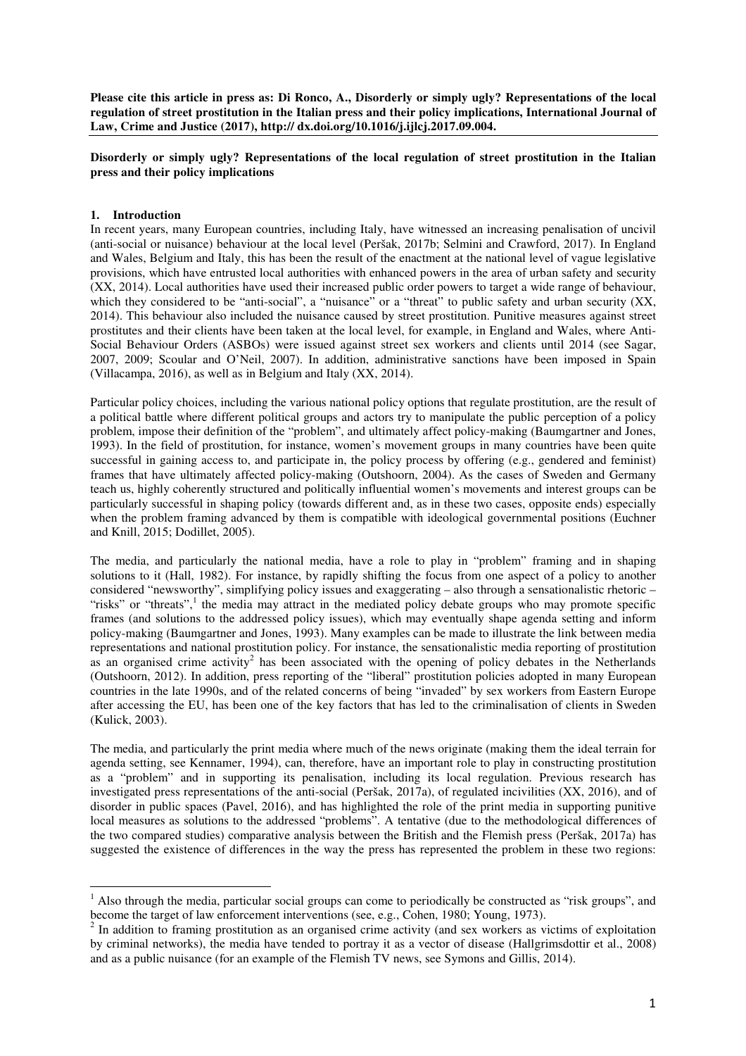**Please cite this article in press as: Di Ronco, A., Disorderly or simply ugly? Representations of the local regulation of street prostitution in the Italian press and their policy implications, International Journal of Law, Crime and Justice (2017), http:// dx.doi.org/10.1016/j.ijlcj.2017.09.004.** 

# **Disorderly or simply ugly? Representations of the local regulation of street prostitution in the Italian press and their policy implications**

## **1. Introduction**

l

In recent years, many European countries, including Italy, have witnessed an increasing penalisation of uncivil (anti-social or nuisance) behaviour at the local level (Peršak, 2017b; Selmini and Crawford, 2017). In England and Wales, Belgium and Italy, this has been the result of the enactment at the national level of vague legislative provisions, which have entrusted local authorities with enhanced powers in the area of urban safety and security (XX, 2014). Local authorities have used their increased public order powers to target a wide range of behaviour, which they considered to be "anti-social", a "nuisance" or a "threat" to public safety and urban security (XX, 2014). This behaviour also included the nuisance caused by street prostitution. Punitive measures against street prostitutes and their clients have been taken at the local level, for example, in England and Wales, where Anti-Social Behaviour Orders (ASBOs) were issued against street sex workers and clients until 2014 (see Sagar, 2007, 2009; Scoular and O'Neil, 2007). In addition, administrative sanctions have been imposed in Spain (Villacampa, 2016), as well as in Belgium and Italy (XX, 2014).

Particular policy choices, including the various national policy options that regulate prostitution, are the result of a political battle where different political groups and actors try to manipulate the public perception of a policy problem, impose their definition of the "problem", and ultimately affect policy-making (Baumgartner and Jones, 1993). In the field of prostitution, for instance, women's movement groups in many countries have been quite successful in gaining access to, and participate in, the policy process by offering (e.g., gendered and feminist) frames that have ultimately affected policy-making (Outshoorn, 2004). As the cases of Sweden and Germany teach us, highly coherently structured and politically influential women's movements and interest groups can be particularly successful in shaping policy (towards different and, as in these two cases, opposite ends) especially when the problem framing advanced by them is compatible with ideological governmental positions (Euchner and Knill, 2015; Dodillet, 2005).

The media, and particularly the national media, have a role to play in "problem" framing and in shaping solutions to it (Hall, 1982). For instance, by rapidly shifting the focus from one aspect of a policy to another considered "newsworthy", simplifying policy issues and exaggerating – also through a sensationalistic rhetoric – "risks" or "threats",<sup>1</sup> the media may attract in the mediated policy debate groups who may promote specific frames (and solutions to the addressed policy issues), which may eventually shape agenda setting and inform policy-making (Baumgartner and Jones, 1993). Many examples can be made to illustrate the link between media representations and national prostitution policy. For instance, the sensationalistic media reporting of prostitution as an organised crime activity<sup>2</sup> has been associated with the opening of policy debates in the Netherlands (Outshoorn, 2012). In addition, press reporting of the "liberal" prostitution policies adopted in many European countries in the late 1990s, and of the related concerns of being "invaded" by sex workers from Eastern Europe after accessing the EU, has been one of the key factors that has led to the criminalisation of clients in Sweden (Kulick, 2003).

The media, and particularly the print media where much of the news originate (making them the ideal terrain for agenda setting, see Kennamer, 1994), can, therefore, have an important role to play in constructing prostitution as a "problem" and in supporting its penalisation, including its local regulation. Previous research has investigated press representations of the anti-social (Peršak, 2017a), of regulated incivilities (XX, 2016), and of disorder in public spaces (Pavel, 2016), and has highlighted the role of the print media in supporting punitive local measures as solutions to the addressed "problems". A tentative (due to the methodological differences of the two compared studies) comparative analysis between the British and the Flemish press (Peršak, 2017a) has suggested the existence of differences in the way the press has represented the problem in these two regions:

<sup>&</sup>lt;sup>1</sup> Also through the media, particular social groups can come to periodically be constructed as "risk groups", and become the target of law enforcement interventions (see, e.g., Cohen, 1980; Young, 1973).

 $2<sup>2</sup>$  In addition to framing prostitution as an organised crime activity (and sex workers as victims of exploitation by criminal networks), the media have tended to portray it as a vector of disease (Hallgrimsdottir et al., 2008) and as a public nuisance (for an example of the Flemish TV news, see Symons and Gillis, 2014).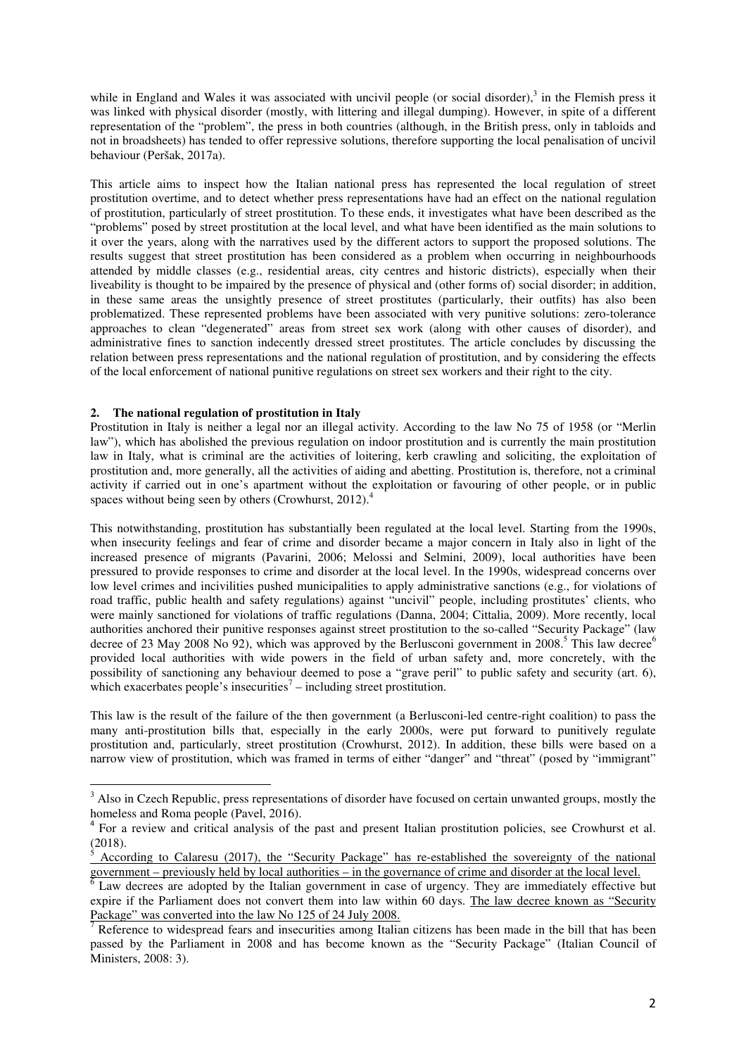while in England and Wales it was associated with uncivil people (or social disorder), $3$  in the Flemish press it was linked with physical disorder (mostly, with littering and illegal dumping). However, in spite of a different representation of the "problem", the press in both countries (although, in the British press, only in tabloids and not in broadsheets) has tended to offer repressive solutions, therefore supporting the local penalisation of uncivil behaviour (Peršak, 2017a).

This article aims to inspect how the Italian national press has represented the local regulation of street prostitution overtime, and to detect whether press representations have had an effect on the national regulation of prostitution, particularly of street prostitution. To these ends, it investigates what have been described as the "problems" posed by street prostitution at the local level, and what have been identified as the main solutions to it over the years, along with the narratives used by the different actors to support the proposed solutions. The results suggest that street prostitution has been considered as a problem when occurring in neighbourhoods attended by middle classes (e.g., residential areas, city centres and historic districts), especially when their liveability is thought to be impaired by the presence of physical and (other forms of) social disorder; in addition, in these same areas the unsightly presence of street prostitutes (particularly, their outfits) has also been problematized. These represented problems have been associated with very punitive solutions: zero-tolerance approaches to clean "degenerated" areas from street sex work (along with other causes of disorder), and administrative fines to sanction indecently dressed street prostitutes. The article concludes by discussing the relation between press representations and the national regulation of prostitution, and by considering the effects of the local enforcement of national punitive regulations on street sex workers and their right to the city.

## **2. The national regulation of prostitution in Italy**

l

Prostitution in Italy is neither a legal nor an illegal activity. According to the law No 75 of 1958 (or "Merlin law"), which has abolished the previous regulation on indoor prostitution and is currently the main prostitution law in Italy, what is criminal are the activities of loitering, kerb crawling and soliciting, the exploitation of prostitution and, more generally, all the activities of aiding and abetting. Prostitution is, therefore, not a criminal activity if carried out in one's apartment without the exploitation or favouring of other people, or in public spaces without being seen by others (Crowhurst,  $2012$ ).<sup>4</sup>

This notwithstanding, prostitution has substantially been regulated at the local level. Starting from the 1990s, when insecurity feelings and fear of crime and disorder became a major concern in Italy also in light of the increased presence of migrants (Pavarini, 2006; Melossi and Selmini, 2009), local authorities have been pressured to provide responses to crime and disorder at the local level. In the 1990s, widespread concerns over low level crimes and incivilities pushed municipalities to apply administrative sanctions (e.g., for violations of road traffic, public health and safety regulations) against "uncivil" people, including prostitutes' clients, who were mainly sanctioned for violations of traffic regulations (Danna, 2004; Cittalia, 2009). More recently, local authorities anchored their punitive responses against street prostitution to the so-called "Security Package" (law decree of 23 May 2008 No 92), which was approved by the Berlusconi government in 2008.<sup>5</sup> This law decree<sup>6</sup> provided local authorities with wide powers in the field of urban safety and, more concretely, with the possibility of sanctioning any behaviour deemed to pose a "grave peril" to public safety and security (art. 6), which exacerbates people's insecurities<sup>7</sup> – including street prostitution.

This law is the result of the failure of the then government (a Berlusconi-led centre-right coalition) to pass the many anti-prostitution bills that, especially in the early 2000s, were put forward to punitively regulate prostitution and, particularly, street prostitution (Crowhurst, 2012). In addition, these bills were based on a narrow view of prostitution, which was framed in terms of either "danger" and "threat" (posed by "immigrant"

<sup>&</sup>lt;sup>3</sup> Also in Czech Republic, press representations of disorder have focused on certain unwanted groups, mostly the homeless and Roma people (Pavel, 2016).

<sup>&</sup>lt;sup>4</sup> For a review and critical analysis of the past and present Italian prostitution policies, see Crowhurst et al. (2018).

<sup>5</sup> According to Calaresu (2017), the "Security Package" has re-established the sovereignty of the national government – previously held by local authorities – in the governance of crime and disorder at the local level.

<sup>6</sup> Law decrees are adopted by the Italian government in case of urgency. They are immediately effective but expire if the Parliament does not convert them into law within 60 days. The law decree known as "Security Package" was converted into the law No 125 of 24 July 2008.

<sup>7</sup> Reference to widespread fears and insecurities among Italian citizens has been made in the bill that has been passed by the Parliament in 2008 and has become known as the "Security Package" (Italian Council of Ministers, 2008: 3).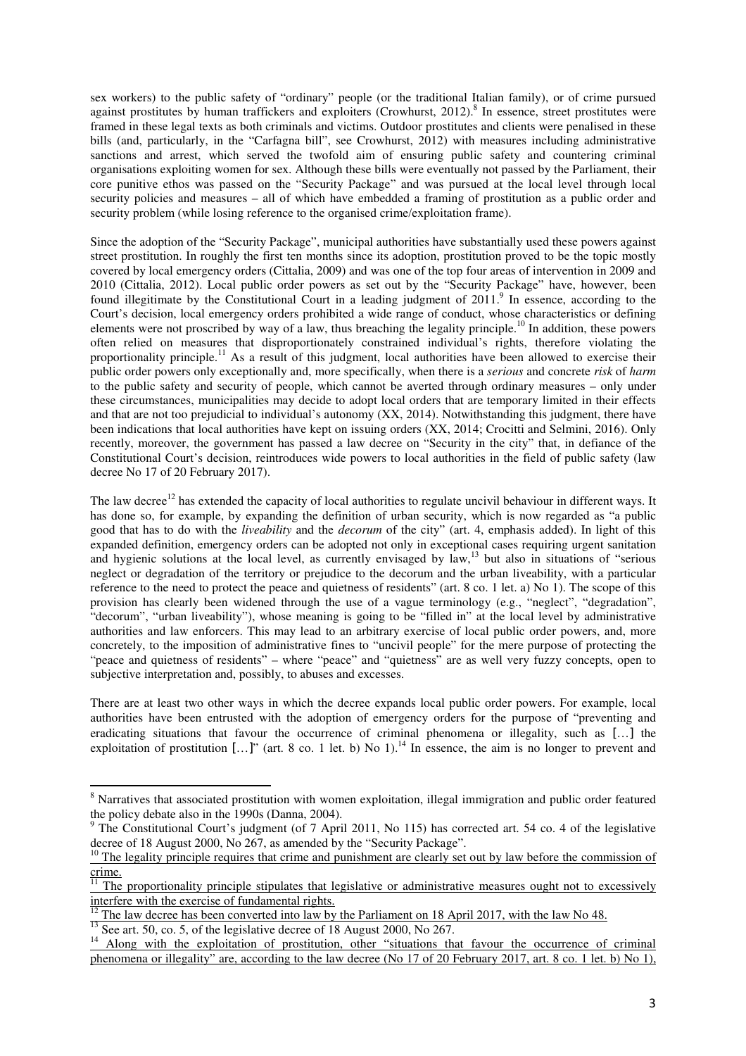sex workers) to the public safety of "ordinary" people (or the traditional Italian family), or of crime pursued against prostitutes by human traffickers and exploiters (Crowhurst, 2012).<sup>8</sup> In essence, street prostitutes were framed in these legal texts as both criminals and victims. Outdoor prostitutes and clients were penalised in these bills (and, particularly, in the "Carfagna bill", see Crowhurst, 2012) with measures including administrative sanctions and arrest, which served the twofold aim of ensuring public safety and countering criminal organisations exploiting women for sex. Although these bills were eventually not passed by the Parliament, their core punitive ethos was passed on the "Security Package" and was pursued at the local level through local security policies and measures – all of which have embedded a framing of prostitution as a public order and security problem (while losing reference to the organised crime/exploitation frame).

Since the adoption of the "Security Package", municipal authorities have substantially used these powers against street prostitution. In roughly the first ten months since its adoption, prostitution proved to be the topic mostly covered by local emergency orders (Cittalia, 2009) and was one of the top four areas of intervention in 2009 and 2010 (Cittalia, 2012). Local public order powers as set out by the "Security Package" have, however, been found illegitimate by the Constitutional Court in a leading judgment of 2011.<sup>9</sup> In essence, according to the Court's decision, local emergency orders prohibited a wide range of conduct, whose characteristics or defining elements were not proscribed by way of a law, thus breaching the legality principle.<sup>10</sup> In addition, these powers often relied on measures that disproportionately constrained individual's rights, therefore violating the proportionality principle.<sup>11</sup> As a result of this judgment, local authorities have been allowed to exercise their public order powers only exceptionally and, more specifically, when there is a *serious* and concrete *risk* of *harm* to the public safety and security of people, which cannot be averted through ordinary measures – only under these circumstances, municipalities may decide to adopt local orders that are temporary limited in their effects and that are not too prejudicial to individual's autonomy (XX, 2014). Notwithstanding this judgment, there have been indications that local authorities have kept on issuing orders (XX, 2014; Crocitti and Selmini, 2016). Only recently, moreover, the government has passed a law decree on "Security in the city" that, in defiance of the Constitutional Court's decision, reintroduces wide powers to local authorities in the field of public safety (law decree No 17 of 20 February 2017).

The law decree<sup>12</sup> has extended the capacity of local authorities to regulate uncivil behaviour in different ways. It has done so, for example, by expanding the definition of urban security, which is now regarded as "a public good that has to do with the *liveability* and the *decorum* of the city" (art. 4, emphasis added). In light of this expanded definition, emergency orders can be adopted not only in exceptional cases requiring urgent sanitation and hygienic solutions at the local level, as currently envisaged by law,<sup>13</sup> but also in situations of "serious" neglect or degradation of the territory or prejudice to the decorum and the urban liveability, with a particular reference to the need to protect the peace and quietness of residents" (art. 8 co. 1 let. a) No 1). The scope of this provision has clearly been widened through the use of a vague terminology (e.g., "neglect", "degradation", "decorum", "urban liveability"), whose meaning is going to be "filled in" at the local level by administrative authorities and law enforcers. This may lead to an arbitrary exercise of local public order powers, and, more concretely, to the imposition of administrative fines to "uncivil people" for the mere purpose of protecting the "peace and quietness of residents" – where "peace" and "quietness" are as well very fuzzy concepts, open to subjective interpretation and, possibly, to abuses and excesses.

There are at least two other ways in which the decree expands local public order powers. For example, local authorities have been entrusted with the adoption of emergency orders for the purpose of "preventing and eradicating situations that favour the occurrence of criminal phenomena or illegality, such as […] the exploitation of prostitution  $[...]$ " (art. 8 co. 1 let. b) No 1).<sup>14</sup> In essence, the aim is no longer to prevent and

l

<sup>&</sup>lt;sup>8</sup> Narratives that associated prostitution with women exploitation, illegal immigration and public order featured the policy debate also in the 1990s (Danna, 2004).

<sup>&</sup>lt;sup>9</sup> The Constitutional Court's judgment (of 7 April 2011, No 115) has corrected art. 54 co. 4 of the legislative decree of 18 August 2000, No 267, as amended by the "Security Package".

 $10$  The legality principle requires that crime and punishment are clearly set out by law before the commission of crime.

 $\frac{11}{11}$  The proportionality principle stipulates that legislative or administrative measures ought not to excessively interfere with the exercise of fundamental rights.

<sup>12</sup> The law decree has been converted into law by the Parliament on 18 April 2017, with the law No 48.

 $\frac{13}{13}$  See art. 50, co. 5, of the legislative decree of 18 August 2000, No 267.

<sup>&</sup>lt;sup>14</sup> Along with the exploitation of prostitution, other "situations that favour the occurrence of criminal phenomena or illegality" are, according to the law decree (No 17 of 20 February 2017, art. 8 co. 1 let. b) No 1),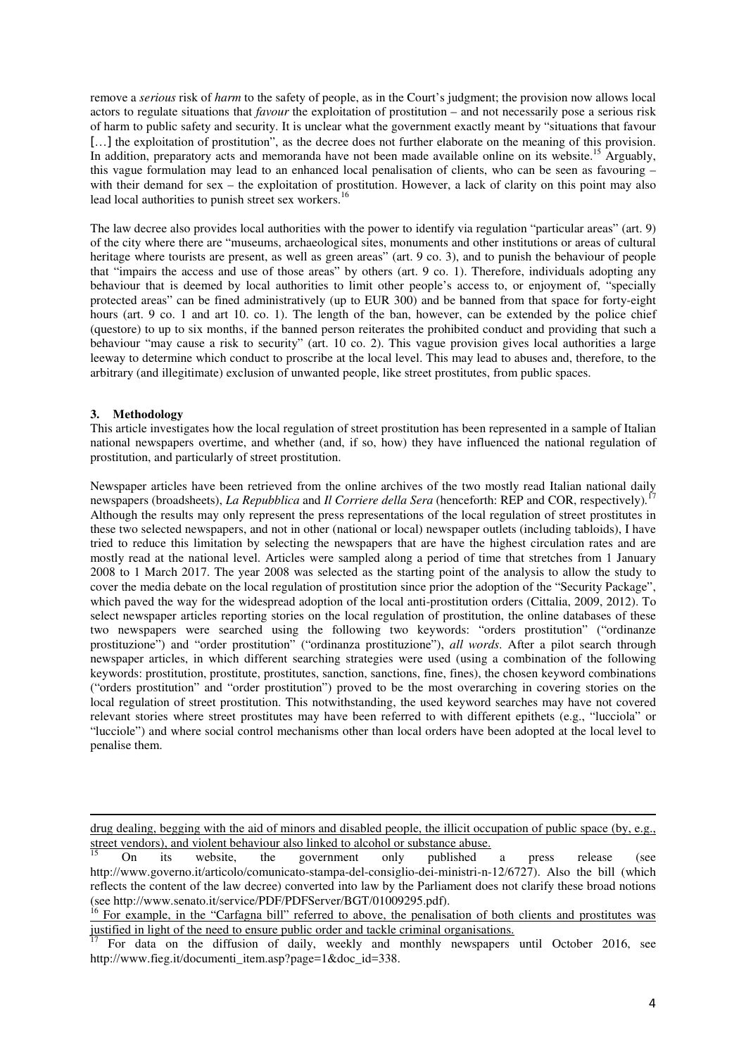remove a *serious* risk of *harm* to the safety of people, as in the Court's judgment; the provision now allows local actors to regulate situations that *favour* the exploitation of prostitution – and not necessarily pose a serious risk of harm to public safety and security. It is unclear what the government exactly meant by "situations that favour [...] the exploitation of prostitution", as the decree does not further elaborate on the meaning of this provision. In addition, preparatory acts and memoranda have not been made available online on its website.<sup>15</sup> Arguably, this vague formulation may lead to an enhanced local penalisation of clients, who can be seen as favouring – with their demand for sex – the exploitation of prostitution. However, a lack of clarity on this point may also lead local authorities to punish street sex workers.<sup>16</sup>

The law decree also provides local authorities with the power to identify via regulation "particular areas" (art. 9) of the city where there are "museums, archaeological sites, monuments and other institutions or areas of cultural heritage where tourists are present, as well as green areas" (art. 9 co. 3), and to punish the behaviour of people that "impairs the access and use of those areas" by others (art. 9 co. 1). Therefore, individuals adopting any behaviour that is deemed by local authorities to limit other people's access to, or enjoyment of, "specially protected areas" can be fined administratively (up to EUR 300) and be banned from that space for forty-eight hours (art. 9 co. 1 and art 10. co. 1). The length of the ban, however, can be extended by the police chief (questore) to up to six months, if the banned person reiterates the prohibited conduct and providing that such a behaviour "may cause a risk to security" (art. 10 co. 2). This vague provision gives local authorities a large leeway to determine which conduct to proscribe at the local level. This may lead to abuses and, therefore, to the arbitrary (and illegitimate) exclusion of unwanted people, like street prostitutes, from public spaces.

### **3. Methodology**

 $\overline{a}$ 

This article investigates how the local regulation of street prostitution has been represented in a sample of Italian national newspapers overtime, and whether (and, if so, how) they have influenced the national regulation of prostitution, and particularly of street prostitution.

Newspaper articles have been retrieved from the online archives of the two mostly read Italian national daily newspapers (broadsheets), *La Repubblica* and *Il Corriere della Sera* (henceforth: REP and COR, respectively)*.* 17 Although the results may only represent the press representations of the local regulation of street prostitutes in these two selected newspapers, and not in other (national or local) newspaper outlets (including tabloids), I have tried to reduce this limitation by selecting the newspapers that are have the highest circulation rates and are mostly read at the national level. Articles were sampled along a period of time that stretches from 1 January 2008 to 1 March 2017. The year 2008 was selected as the starting point of the analysis to allow the study to cover the media debate on the local regulation of prostitution since prior the adoption of the "Security Package", which paved the way for the widespread adoption of the local anti-prostitution orders (Cittalia, 2009, 2012). To select newspaper articles reporting stories on the local regulation of prostitution, the online databases of these two newspapers were searched using the following two keywords: "orders prostitution" ("ordinanze prostituzione") and "order prostitution" ("ordinanza prostituzione"), *all words*. After a pilot search through newspaper articles, in which different searching strategies were used (using a combination of the following keywords: prostitution, prostitute, prostitutes, sanction, sanctions, fine, fines), the chosen keyword combinations ("orders prostitution" and "order prostitution") proved to be the most overarching in covering stories on the local regulation of street prostitution. This notwithstanding, the used keyword searches may have not covered relevant stories where street prostitutes may have been referred to with different epithets (e.g., "lucciola" or "lucciole") and where social control mechanisms other than local orders have been adopted at the local level to penalise them.

drug dealing, begging with the aid of minors and disabled people, the illicit occupation of public space (by, e.g., street vendors), and violent behaviour also linked to alcohol or substance abuse.

<sup>15</sup> On its website, the government only published a press release (see http://www.governo.it/articolo/comunicato-stampa-del-consiglio-dei-ministri-n-12/6727). Also the bill (which reflects the content of the law decree) converted into law by the Parliament does not clarify these broad notions (see http://www.senato.it/service/PDF/PDFServer/BGT/01009295.pdf).

<sup>&</sup>lt;sup>16</sup> For example, in the "Carfagna bill" referred to above, the penalisation of both clients and prostitutes was justified in light of the need to ensure public order and tackle criminal organisations.

<sup>17</sup> For data on the diffusion of daily, weekly and monthly newspapers until October 2016, see http://www.fieg.it/documenti\_item.asp?page=1&doc\_id=338.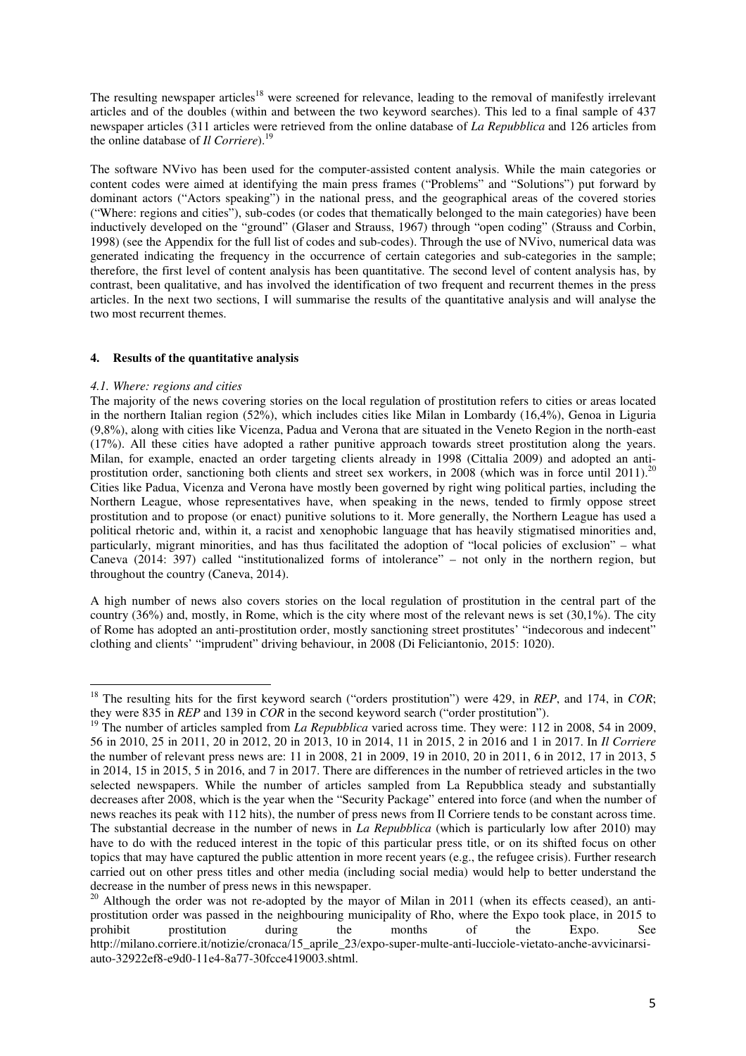The resulting newspaper articles<sup>18</sup> were screened for relevance, leading to the removal of manifestly irrelevant articles and of the doubles (within and between the two keyword searches). This led to a final sample of 437 newspaper articles (311 articles were retrieved from the online database of *La Repubblica* and 126 articles from the online database of *Il Corriere*).<sup>19</sup>

The software NVivo has been used for the computer-assisted content analysis. While the main categories or content codes were aimed at identifying the main press frames ("Problems" and "Solutions") put forward by dominant actors ("Actors speaking") in the national press, and the geographical areas of the covered stories ("Where: regions and cities"), sub-codes (or codes that thematically belonged to the main categories) have been inductively developed on the "ground" (Glaser and Strauss, 1967) through "open coding" (Strauss and Corbin, 1998) (see the Appendix for the full list of codes and sub-codes). Through the use of NVivo, numerical data was generated indicating the frequency in the occurrence of certain categories and sub-categories in the sample; therefore, the first level of content analysis has been quantitative. The second level of content analysis has, by contrast, been qualitative, and has involved the identification of two frequent and recurrent themes in the press articles. In the next two sections, I will summarise the results of the quantitative analysis and will analyse the two most recurrent themes.

### **4. Results of the quantitative analysis**

### *4.1. Where: regions and cities*

l

The majority of the news covering stories on the local regulation of prostitution refers to cities or areas located in the northern Italian region (52%), which includes cities like Milan in Lombardy (16,4%), Genoa in Liguria (9,8%), along with cities like Vicenza, Padua and Verona that are situated in the Veneto Region in the north-east (17%). All these cities have adopted a rather punitive approach towards street prostitution along the years. Milan, for example, enacted an order targeting clients already in 1998 (Cittalia 2009) and adopted an antiprostitution order, sanctioning both clients and street sex workers, in 2008 (which was in force until 2011).<sup>20</sup> Cities like Padua, Vicenza and Verona have mostly been governed by right wing political parties, including the Northern League, whose representatives have, when speaking in the news, tended to firmly oppose street prostitution and to propose (or enact) punitive solutions to it. More generally, the Northern League has used a political rhetoric and, within it, a racist and xenophobic language that has heavily stigmatised minorities and, particularly, migrant minorities, and has thus facilitated the adoption of "local policies of exclusion" – what Caneva (2014: 397) called "institutionalized forms of intolerance" – not only in the northern region, but throughout the country (Caneva, 2014).

A high number of news also covers stories on the local regulation of prostitution in the central part of the country (36%) and, mostly, in Rome, which is the city where most of the relevant news is set (30,1%). The city of Rome has adopted an anti-prostitution order, mostly sanctioning street prostitutes' "indecorous and indecent" clothing and clients' "imprudent" driving behaviour, in 2008 (Di Feliciantonio, 2015: 1020).

<sup>18</sup> The resulting hits for the first keyword search ("orders prostitution") were 429, in *REP*, and 174, in *COR*; they were 835 in *REP* and 139 in *COR* in the second keyword search ("order prostitution").

<sup>&</sup>lt;sup>19</sup> The number of articles sampled from *La Repubblica* varied across time. They were: 112 in 2008, 54 in 2009, 56 in 2010, 25 in 2011, 20 in 2012, 20 in 2013, 10 in 2014, 11 in 2015, 2 in 2016 and 1 in 2017. In *Il Corriere* the number of relevant press news are: 11 in 2008, 21 in 2009, 19 in 2010, 20 in 2011, 6 in 2012, 17 in 2013, 5 in 2014, 15 in 2015, 5 in 2016, and 7 in 2017. There are differences in the number of retrieved articles in the two selected newspapers. While the number of articles sampled from La Repubblica steady and substantially decreases after 2008, which is the year when the "Security Package" entered into force (and when the number of news reaches its peak with 112 hits), the number of press news from Il Corriere tends to be constant across time. The substantial decrease in the number of news in *La Repubblica* (which is particularly low after 2010) may have to do with the reduced interest in the topic of this particular press title, or on its shifted focus on other topics that may have captured the public attention in more recent years (e.g., the refugee crisis). Further research carried out on other press titles and other media (including social media) would help to better understand the decrease in the number of press news in this newspaper.

 $20$  Although the order was not re-adopted by the mayor of Milan in 2011 (when its effects ceased), an antiprostitution order was passed in the neighbouring municipality of Rho, where the Expo took place, in 2015 to probibit prostitution during the months of the Expo. See prohibit prostitution during the months of the Expo. See http://milano.corriere.it/notizie/cronaca/15\_aprile\_23/expo-super-multe-anti-lucciole-vietato-anche-avvicinarsiauto-32922ef8-e9d0-11e4-8a77-30fcce419003.shtml.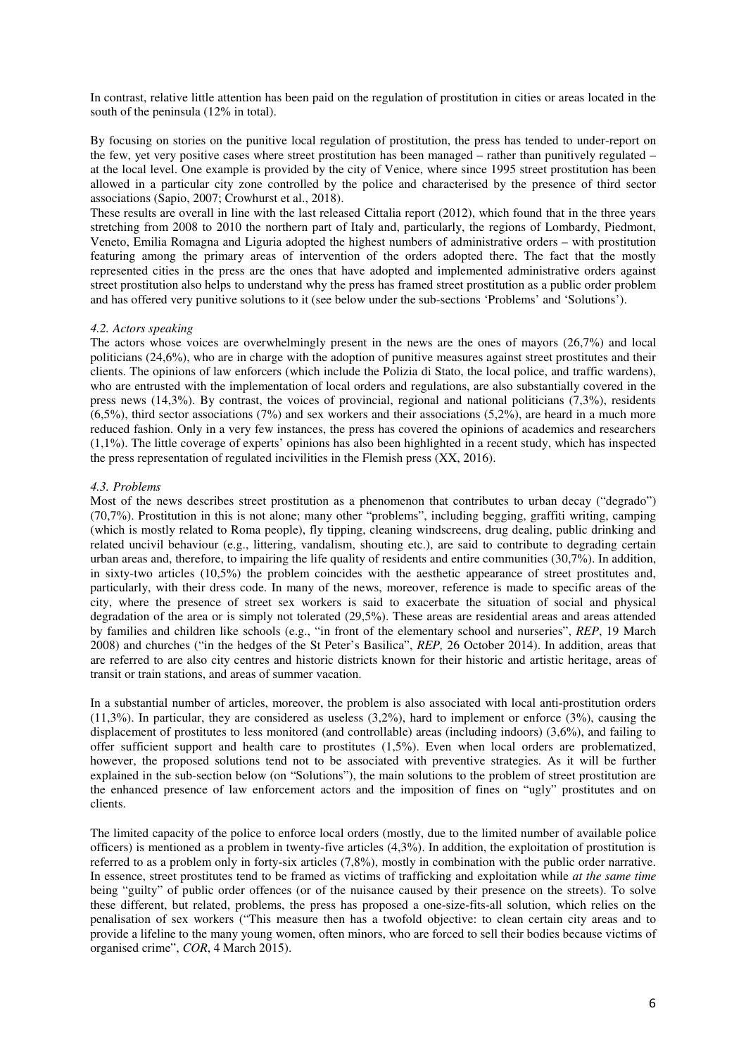In contrast, relative little attention has been paid on the regulation of prostitution in cities or areas located in the south of the peninsula (12% in total).

By focusing on stories on the punitive local regulation of prostitution, the press has tended to under-report on the few, yet very positive cases where street prostitution has been managed – rather than punitively regulated – at the local level. One example is provided by the city of Venice, where since 1995 street prostitution has been allowed in a particular city zone controlled by the police and characterised by the presence of third sector associations (Sapio, 2007; Crowhurst et al., 2018).

These results are overall in line with the last released Cittalia report (2012), which found that in the three years stretching from 2008 to 2010 the northern part of Italy and, particularly, the regions of Lombardy, Piedmont, Veneto, Emilia Romagna and Liguria adopted the highest numbers of administrative orders – with prostitution featuring among the primary areas of intervention of the orders adopted there. The fact that the mostly represented cities in the press are the ones that have adopted and implemented administrative orders against street prostitution also helps to understand why the press has framed street prostitution as a public order problem and has offered very punitive solutions to it (see below under the sub-sections 'Problems' and 'Solutions').

### *4.2. Actors speaking*

The actors whose voices are overwhelmingly present in the news are the ones of mayors (26,7%) and local politicians (24,6%), who are in charge with the adoption of punitive measures against street prostitutes and their clients. The opinions of law enforcers (which include the Polizia di Stato, the local police, and traffic wardens), who are entrusted with the implementation of local orders and regulations, are also substantially covered in the press news (14,3%). By contrast, the voices of provincial, regional and national politicians (7,3%), residents  $(6,5\%)$ , third sector associations (7%) and sex workers and their associations (5,2%), are heard in a much more reduced fashion. Only in a very few instances, the press has covered the opinions of academics and researchers (1,1%). The little coverage of experts' opinions has also been highlighted in a recent study, which has inspected the press representation of regulated incivilities in the Flemish press (XX, 2016).

### *4.3. Problems*

Most of the news describes street prostitution as a phenomenon that contributes to urban decay ("degrado") (70,7%). Prostitution in this is not alone; many other "problems", including begging, graffiti writing, camping (which is mostly related to Roma people), fly tipping, cleaning windscreens, drug dealing, public drinking and related uncivil behaviour (e.g., littering, vandalism, shouting etc.), are said to contribute to degrading certain urban areas and, therefore, to impairing the life quality of residents and entire communities (30,7%). In addition, in sixty-two articles (10,5%) the problem coincides with the aesthetic appearance of street prostitutes and, particularly, with their dress code. In many of the news, moreover, reference is made to specific areas of the city, where the presence of street sex workers is said to exacerbate the situation of social and physical degradation of the area or is simply not tolerated (29,5%). These areas are residential areas and areas attended by families and children like schools (e.g., "in front of the elementary school and nurseries", *REP*, 19 March 2008) and churches ("in the hedges of the St Peter's Basilica", *REP,* 26 October 2014). In addition, areas that are referred to are also city centres and historic districts known for their historic and artistic heritage, areas of transit or train stations, and areas of summer vacation.

In a substantial number of articles, moreover, the problem is also associated with local anti-prostitution orders (11,3%). In particular, they are considered as useless (3,2%), hard to implement or enforce (3%), causing the displacement of prostitutes to less monitored (and controllable) areas (including indoors) (3,6%), and failing to offer sufficient support and health care to prostitutes (1,5%). Even when local orders are problematized, however, the proposed solutions tend not to be associated with preventive strategies. As it will be further explained in the sub-section below (on "Solutions"), the main solutions to the problem of street prostitution are the enhanced presence of law enforcement actors and the imposition of fines on "ugly" prostitutes and on clients.

The limited capacity of the police to enforce local orders (mostly, due to the limited number of available police officers) is mentioned as a problem in twenty-five articles (4,3%). In addition, the exploitation of prostitution is referred to as a problem only in forty-six articles (7,8%), mostly in combination with the public order narrative. In essence, street prostitutes tend to be framed as victims of trafficking and exploitation while *at the same time*  being "guilty" of public order offences (or of the nuisance caused by their presence on the streets). To solve these different, but related, problems, the press has proposed a one-size-fits-all solution, which relies on the penalisation of sex workers ("This measure then has a twofold objective: to clean certain city areas and to provide a lifeline to the many young women, often minors, who are forced to sell their bodies because victims of organised crime", *COR*, 4 March 2015).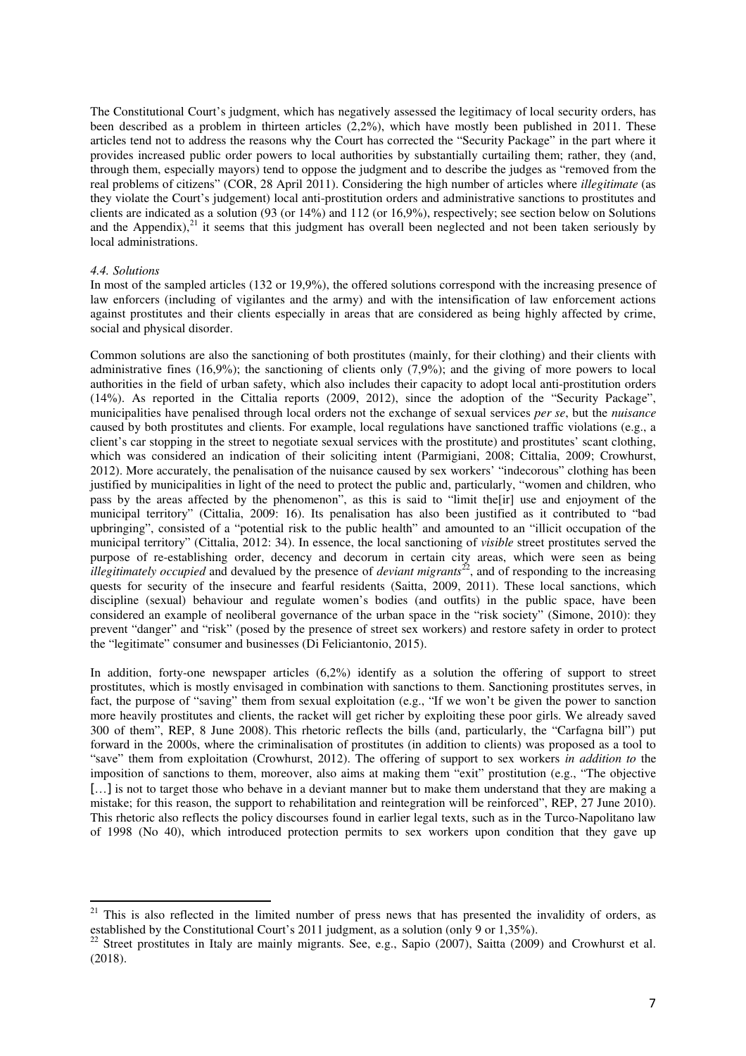The Constitutional Court's judgment, which has negatively assessed the legitimacy of local security orders, has been described as a problem in thirteen articles (2,2%), which have mostly been published in 2011. These articles tend not to address the reasons why the Court has corrected the "Security Package" in the part where it provides increased public order powers to local authorities by substantially curtailing them; rather, they (and, through them, especially mayors) tend to oppose the judgment and to describe the judges as "removed from the real problems of citizens" (COR, 28 April 2011). Considering the high number of articles where *illegitimate* (as they violate the Court's judgement) local anti-prostitution orders and administrative sanctions to prostitutes and clients are indicated as a solution (93 (or 14%) and 112 (or 16,9%), respectively; see section below on Solutions and the Appendix), $^{21}$  it seems that this judgment has overall been neglected and not been taken seriously by local administrations.

### *4.4. Solutions*

 $\overline{a}$ 

In most of the sampled articles (132 or 19,9%), the offered solutions correspond with the increasing presence of law enforcers (including of vigilantes and the army) and with the intensification of law enforcement actions against prostitutes and their clients especially in areas that are considered as being highly affected by crime, social and physical disorder.

Common solutions are also the sanctioning of both prostitutes (mainly, for their clothing) and their clients with administrative fines (16,9%); the sanctioning of clients only (7,9%); and the giving of more powers to local authorities in the field of urban safety, which also includes their capacity to adopt local anti-prostitution orders (14%). As reported in the Cittalia reports (2009, 2012), since the adoption of the "Security Package", municipalities have penalised through local orders not the exchange of sexual services *per se*, but the *nuisance* caused by both prostitutes and clients. For example, local regulations have sanctioned traffic violations (e.g., a client's car stopping in the street to negotiate sexual services with the prostitute) and prostitutes' scant clothing, which was considered an indication of their soliciting intent (Parmigiani, 2008; Cittalia, 2009; Crowhurst, 2012). More accurately, the penalisation of the nuisance caused by sex workers' "indecorous" clothing has been justified by municipalities in light of the need to protect the public and, particularly, "women and children, who pass by the areas affected by the phenomenon", as this is said to "limit the[ir] use and enjoyment of the municipal territory" (Cittalia, 2009: 16). Its penalisation has also been justified as it contributed to "bad upbringing", consisted of a "potential risk to the public health" and amounted to an "illicit occupation of the municipal territory" (Cittalia, 2012: 34). In essence, the local sanctioning of *visible* street prostitutes served the purpose of re-establishing order, decency and decorum in certain city areas, which were seen as being *illegitimately occupied* and devalued by the presence of *deviant migrants*<sup>22</sup>, and of responding to the increasing quests for security of the insecure and fearful residents (Saitta, 2009, 2011). These local sanctions, which discipline (sexual) behaviour and regulate women's bodies (and outfits) in the public space, have been considered an example of neoliberal governance of the urban space in the "risk society" (Simone, 2010): they prevent "danger" and "risk" (posed by the presence of street sex workers) and restore safety in order to protect the "legitimate" consumer and businesses (Di Feliciantonio, 2015).

In addition, forty-one newspaper articles (6,2%) identify as a solution the offering of support to street prostitutes, which is mostly envisaged in combination with sanctions to them. Sanctioning prostitutes serves, in fact, the purpose of "saving" them from sexual exploitation (e.g., "If we won't be given the power to sanction more heavily prostitutes and clients, the racket will get richer by exploiting these poor girls. We already saved 300 of them", REP, 8 June 2008). This rhetoric reflects the bills (and, particularly, the "Carfagna bill") put forward in the 2000s, where the criminalisation of prostitutes (in addition to clients) was proposed as a tool to "save" them from exploitation (Crowhurst, 2012). The offering of support to sex workers *in addition to* the imposition of sanctions to them, moreover, also aims at making them "exit" prostitution (e.g., "The objective [...] is not to target those who behave in a deviant manner but to make them understand that they are making a mistake; for this reason, the support to rehabilitation and reintegration will be reinforced", REP, 27 June 2010). This rhetoric also reflects the policy discourses found in earlier legal texts, such as in the Turco-Napolitano law of 1998 (No 40), which introduced protection permits to sex workers upon condition that they gave up

<sup>&</sup>lt;sup>21</sup> This is also reflected in the limited number of press news that has presented the invalidity of orders, as established by the Constitutional Court's 2011 judgment, as a solution (only 9 or 1,35%).

<sup>&</sup>lt;sup>22</sup> Street prostitutes in Italy are mainly migrants. See, e.g., Sapio (2007), Saitta (2009) and Crowhurst et al. (2018).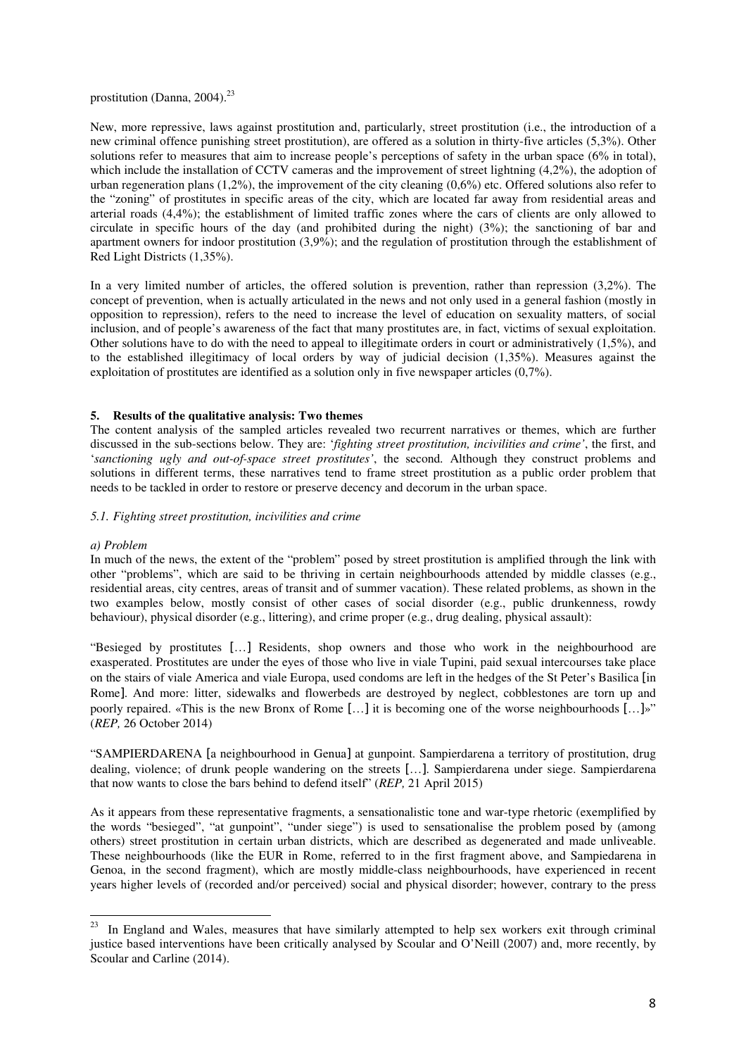# prostitution (Danna, 2004). $^{23}$

New, more repressive, laws against prostitution and, particularly, street prostitution (i.e., the introduction of a new criminal offence punishing street prostitution), are offered as a solution in thirty-five articles (5,3%). Other solutions refer to measures that aim to increase people's perceptions of safety in the urban space (6% in total), which include the installation of CCTV cameras and the improvement of street lightning (4,2%), the adoption of urban regeneration plans (1,2%), the improvement of the city cleaning (0,6%) etc. Offered solutions also refer to the "zoning" of prostitutes in specific areas of the city, which are located far away from residential areas and arterial roads (4,4%); the establishment of limited traffic zones where the cars of clients are only allowed to circulate in specific hours of the day (and prohibited during the night) (3%); the sanctioning of bar and apartment owners for indoor prostitution (3,9%); and the regulation of prostitution through the establishment of Red Light Districts (1,35%).

In a very limited number of articles, the offered solution is prevention, rather than repression (3,2%). The concept of prevention, when is actually articulated in the news and not only used in a general fashion (mostly in opposition to repression), refers to the need to increase the level of education on sexuality matters, of social inclusion, and of people's awareness of the fact that many prostitutes are, in fact, victims of sexual exploitation. Other solutions have to do with the need to appeal to illegitimate orders in court or administratively (1,5%), and to the established illegitimacy of local orders by way of judicial decision (1,35%). Measures against the exploitation of prostitutes are identified as a solution only in five newspaper articles (0,7%).

## **5. Results of the qualitative analysis: Two themes**

The content analysis of the sampled articles revealed two recurrent narratives or themes, which are further discussed in the sub-sections below. They are: '*fighting street prostitution, incivilities and crime'*, the first, and '*sanctioning ugly and out-of-space street prostitutes'*, the second*.* Although they construct problems and solutions in different terms, these narratives tend to frame street prostitution as a public order problem that needs to be tackled in order to restore or preserve decency and decorum in the urban space.

### *5.1. Fighting street prostitution, incivilities and crime*

## *a) Problem*

l

In much of the news, the extent of the "problem" posed by street prostitution is amplified through the link with other "problems", which are said to be thriving in certain neighbourhoods attended by middle classes (e.g., residential areas, city centres, areas of transit and of summer vacation). These related problems, as shown in the two examples below, mostly consist of other cases of social disorder (e.g., public drunkenness, rowdy behaviour), physical disorder (e.g., littering), and crime proper (e.g., drug dealing, physical assault):

"Besieged by prostitutes […] Residents, shop owners and those who work in the neighbourhood are exasperated. Prostitutes are under the eyes of those who live in viale Tupini, paid sexual intercourses take place on the stairs of viale America and viale Europa, used condoms are left in the hedges of the St Peter's Basilica [in Rome]. And more: litter, sidewalks and flowerbeds are destroyed by neglect, cobblestones are torn up and poorly repaired. «This is the new Bronx of Rome […] it is becoming one of the worse neighbourhoods […]»" (*REP,* 26 October 2014)

"SAMPIERDARENA [a neighbourhood in Genua] at gunpoint. Sampierdarena a territory of prostitution, drug dealing, violence; of drunk people wandering on the streets […]. Sampierdarena under siege. Sampierdarena that now wants to close the bars behind to defend itself" (*REP,* 21 April 2015)

As it appears from these representative fragments, a sensationalistic tone and war-type rhetoric (exemplified by the words "besieged", "at gunpoint", "under siege") is used to sensationalise the problem posed by (among others) street prostitution in certain urban districts, which are described as degenerated and made unliveable. These neighbourhoods (like the EUR in Rome, referred to in the first fragment above, and Sampiedarena in Genoa, in the second fragment), which are mostly middle-class neighbourhoods, have experienced in recent years higher levels of (recorded and/or perceived) social and physical disorder; however, contrary to the press

<sup>&</sup>lt;sup>23</sup> In England and Wales, measures that have similarly attempted to help sex workers exit through criminal justice based interventions have been critically analysed by Scoular and O'Neill (2007) and, more recently, by Scoular and Carline (2014).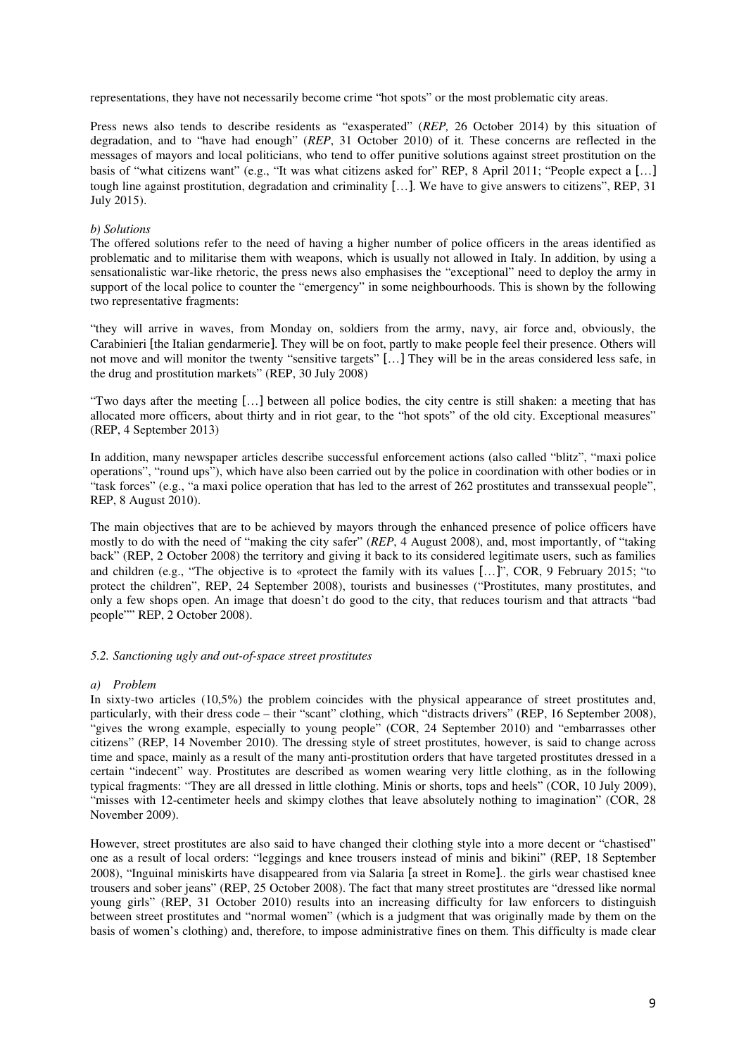representations, they have not necessarily become crime "hot spots" or the most problematic city areas.

Press news also tends to describe residents as "exasperated" (*REP,* 26 October 2014) by this situation of degradation, and to "have had enough" (*REP*, 31 October 2010) of it. These concerns are reflected in the messages of mayors and local politicians, who tend to offer punitive solutions against street prostitution on the basis of "what citizens want" (e.g., "It was what citizens asked for" REP, 8 April 2011; "People expect a […] tough line against prostitution, degradation and criminality […]. We have to give answers to citizens", REP, 31 July 2015).

## *b) Solutions*

The offered solutions refer to the need of having a higher number of police officers in the areas identified as problematic and to militarise them with weapons, which is usually not allowed in Italy. In addition, by using a sensationalistic war-like rhetoric, the press news also emphasises the "exceptional" need to deploy the army in support of the local police to counter the "emergency" in some neighbourhoods. This is shown by the following two representative fragments:

"they will arrive in waves, from Monday on, soldiers from the army, navy, air force and, obviously, the Carabinieri [the Italian gendarmerie]. They will be on foot, partly to make people feel their presence. Others will not move and will monitor the twenty "sensitive targets" […] They will be in the areas considered less safe, in the drug and prostitution markets" (REP, 30 July 2008)

"Two days after the meeting […] between all police bodies, the city centre is still shaken: a meeting that has allocated more officers, about thirty and in riot gear, to the "hot spots" of the old city. Exceptional measures" (REP, 4 September 2013)

In addition, many newspaper articles describe successful enforcement actions (also called "blitz", "maxi police operations", "round ups"), which have also been carried out by the police in coordination with other bodies or in "task forces" (e.g., "a maxi police operation that has led to the arrest of 262 prostitutes and transsexual people", REP, 8 August 2010).

The main objectives that are to be achieved by mayors through the enhanced presence of police officers have mostly to do with the need of "making the city safer" (*REP*, 4 August 2008), and, most importantly, of "taking back" (REP, 2 October 2008) the territory and giving it back to its considered legitimate users, such as families and children (e.g., "The objective is to «protect the family with its values […]", COR, 9 February 2015; "to protect the children", REP, 24 September 2008), tourists and businesses ("Prostitutes, many prostitutes, and only a few shops open. An image that doesn't do good to the city, that reduces tourism and that attracts "bad people"" REP, 2 October 2008).

### *5.2. Sanctioning ugly and out-of-space street prostitutes*

### *a) Problem*

In sixty-two articles (10,5%) the problem coincides with the physical appearance of street prostitutes and, particularly, with their dress code – their "scant" clothing, which "distracts drivers" (REP, 16 September 2008), "gives the wrong example, especially to young people" (COR, 24 September 2010) and "embarrasses other citizens" (REP, 14 November 2010). The dressing style of street prostitutes, however, is said to change across time and space, mainly as a result of the many anti-prostitution orders that have targeted prostitutes dressed in a certain "indecent" way. Prostitutes are described as women wearing very little clothing, as in the following typical fragments: "They are all dressed in little clothing. Minis or shorts, tops and heels" (COR, 10 July 2009), "misses with 12-centimeter heels and skimpy clothes that leave absolutely nothing to imagination" (COR, 28 November 2009).

However, street prostitutes are also said to have changed their clothing style into a more decent or "chastised" one as a result of local orders: "leggings and knee trousers instead of minis and bikini" (REP, 18 September 2008), "Inguinal miniskirts have disappeared from via Salaria [a street in Rome].. the girls wear chastised knee trousers and sober jeans" (REP, 25 October 2008). The fact that many street prostitutes are "dressed like normal young girls" (REP, 31 October 2010) results into an increasing difficulty for law enforcers to distinguish between street prostitutes and "normal women" (which is a judgment that was originally made by them on the basis of women's clothing) and, therefore, to impose administrative fines on them. This difficulty is made clear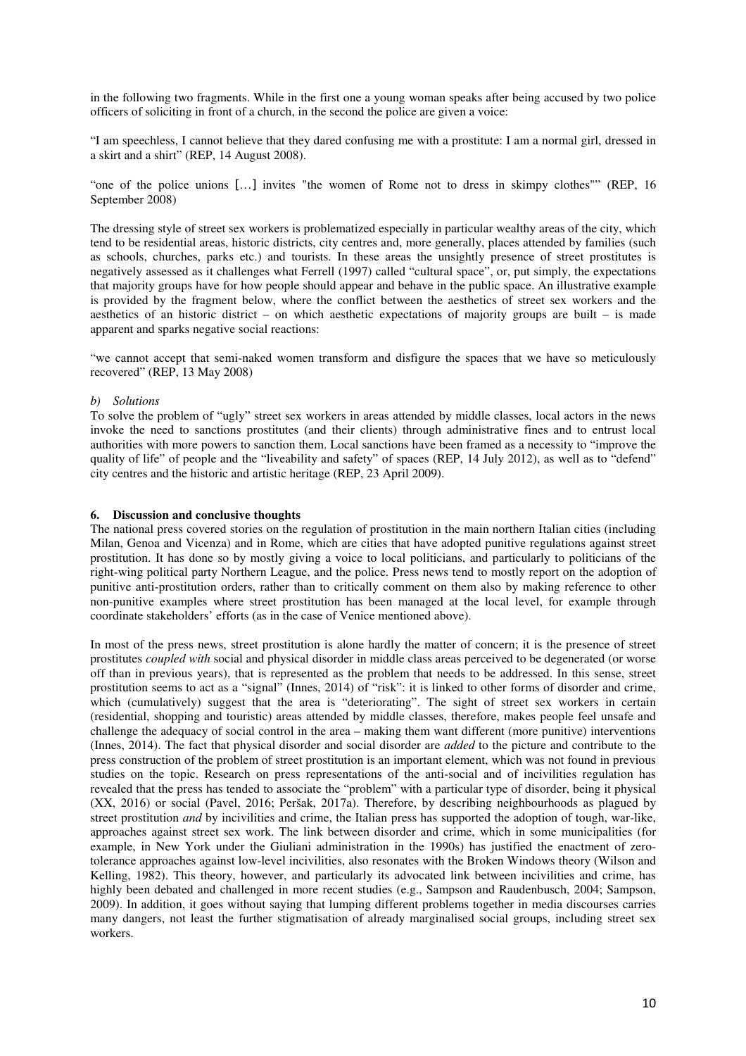in the following two fragments. While in the first one a young woman speaks after being accused by two police officers of soliciting in front of a church, in the second the police are given a voice:

"I am speechless, I cannot believe that they dared confusing me with a prostitute: I am a normal girl, dressed in a skirt and a shirt" (REP, 14 August 2008).

"one of the police unions […] invites "the women of Rome not to dress in skimpy clothes"" (REP, 16 September 2008)

The dressing style of street sex workers is problematized especially in particular wealthy areas of the city, which tend to be residential areas, historic districts, city centres and, more generally, places attended by families (such as schools, churches, parks etc.) and tourists. In these areas the unsightly presence of street prostitutes is negatively assessed as it challenges what Ferrell (1997) called "cultural space", or, put simply, the expectations that majority groups have for how people should appear and behave in the public space. An illustrative example is provided by the fragment below, where the conflict between the aesthetics of street sex workers and the aesthetics of an historic district – on which aesthetic expectations of majority groups are built – is made apparent and sparks negative social reactions:

"we cannot accept that semi-naked women transform and disfigure the spaces that we have so meticulously recovered" (REP, 13 May 2008)

#### *b) Solutions*

To solve the problem of "ugly" street sex workers in areas attended by middle classes, local actors in the news invoke the need to sanctions prostitutes (and their clients) through administrative fines and to entrust local authorities with more powers to sanction them. Local sanctions have been framed as a necessity to "improve the quality of life" of people and the "liveability and safety" of spaces (REP, 14 July 2012), as well as to "defend" city centres and the historic and artistic heritage (REP, 23 April 2009).

### **6. Discussion and conclusive thoughts**

The national press covered stories on the regulation of prostitution in the main northern Italian cities (including Milan, Genoa and Vicenza) and in Rome, which are cities that have adopted punitive regulations against street prostitution. It has done so by mostly giving a voice to local politicians, and particularly to politicians of the right-wing political party Northern League, and the police. Press news tend to mostly report on the adoption of punitive anti-prostitution orders, rather than to critically comment on them also by making reference to other non-punitive examples where street prostitution has been managed at the local level, for example through coordinate stakeholders' efforts (as in the case of Venice mentioned above).

In most of the press news, street prostitution is alone hardly the matter of concern; it is the presence of street prostitutes *coupled with* social and physical disorder in middle class areas perceived to be degenerated (or worse off than in previous years), that is represented as the problem that needs to be addressed. In this sense, street prostitution seems to act as a "signal" (Innes, 2014) of "risk": it is linked to other forms of disorder and crime, which (cumulatively) suggest that the area is "deteriorating". The sight of street sex workers in certain (residential, shopping and touristic) areas attended by middle classes, therefore, makes people feel unsafe and challenge the adequacy of social control in the area – making them want different (more punitive) interventions (Innes, 2014). The fact that physical disorder and social disorder are *added* to the picture and contribute to the press construction of the problem of street prostitution is an important element, which was not found in previous studies on the topic. Research on press representations of the anti-social and of incivilities regulation has revealed that the press has tended to associate the "problem" with a particular type of disorder, being it physical (XX, 2016) or social (Pavel, 2016; Peršak, 2017a). Therefore, by describing neighbourhoods as plagued by street prostitution *and* by incivilities and crime, the Italian press has supported the adoption of tough, war-like, approaches against street sex work. The link between disorder and crime, which in some municipalities (for example, in New York under the Giuliani administration in the 1990s) has justified the enactment of zerotolerance approaches against low-level incivilities, also resonates with the Broken Windows theory (Wilson and Kelling, 1982). This theory, however, and particularly its advocated link between incivilities and crime, has highly been debated and challenged in more recent studies (e.g., Sampson and Raudenbusch, 2004; Sampson, 2009). In addition, it goes without saying that lumping different problems together in media discourses carries many dangers, not least the further stigmatisation of already marginalised social groups, including street sex workers.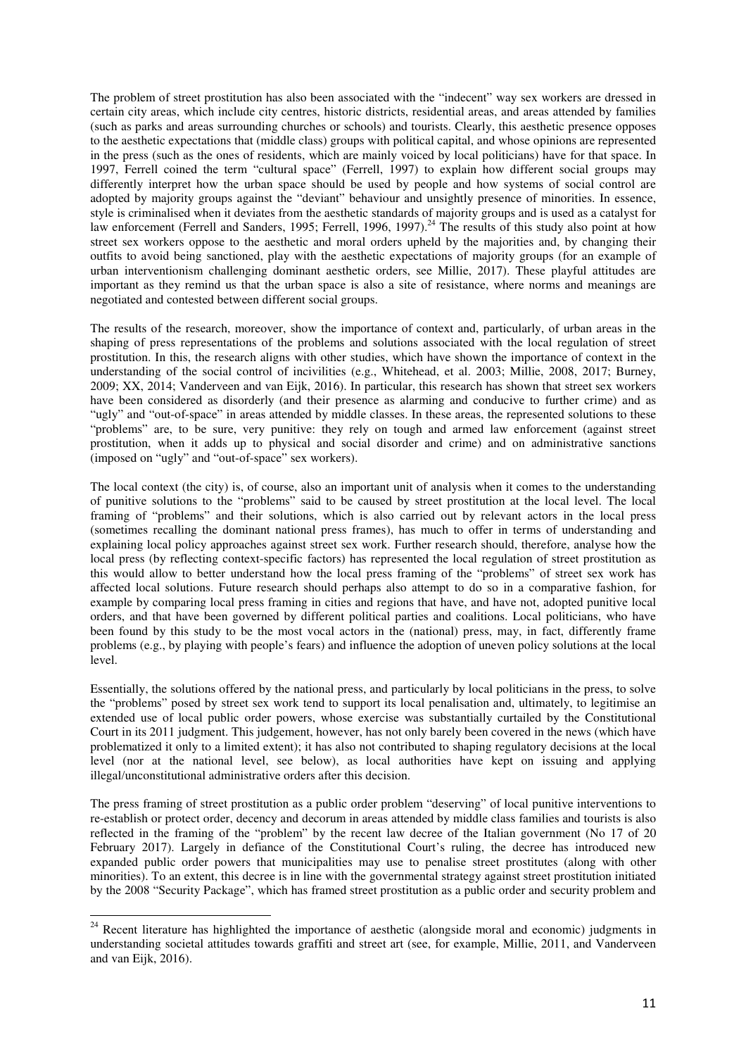The problem of street prostitution has also been associated with the "indecent" way sex workers are dressed in certain city areas, which include city centres, historic districts, residential areas, and areas attended by families (such as parks and areas surrounding churches or schools) and tourists. Clearly, this aesthetic presence opposes to the aesthetic expectations that (middle class) groups with political capital, and whose opinions are represented in the press (such as the ones of residents, which are mainly voiced by local politicians) have for that space. In 1997, Ferrell coined the term "cultural space" (Ferrell, 1997) to explain how different social groups may differently interpret how the urban space should be used by people and how systems of social control are adopted by majority groups against the "deviant" behaviour and unsightly presence of minorities. In essence, style is criminalised when it deviates from the aesthetic standards of majority groups and is used as a catalyst for law enforcement (Ferrell and Sanders, 1995; Ferrell, 1996, 1997).<sup>24</sup> The results of this study also point at how street sex workers oppose to the aesthetic and moral orders upheld by the majorities and, by changing their outfits to avoid being sanctioned, play with the aesthetic expectations of majority groups (for an example of urban interventionism challenging dominant aesthetic orders, see Millie, 2017). These playful attitudes are important as they remind us that the urban space is also a site of resistance, where norms and meanings are negotiated and contested between different social groups.

The results of the research, moreover, show the importance of context and, particularly, of urban areas in the shaping of press representations of the problems and solutions associated with the local regulation of street prostitution. In this, the research aligns with other studies, which have shown the importance of context in the understanding of the social control of incivilities (e.g., Whitehead, et al. 2003; Millie, 2008, 2017; Burney, 2009; XX, 2014; Vanderveen and van Eijk, 2016). In particular, this research has shown that street sex workers have been considered as disorderly (and their presence as alarming and conducive to further crime) and as "ugly" and "out-of-space" in areas attended by middle classes. In these areas, the represented solutions to these "problems" are, to be sure, very punitive: they rely on tough and armed law enforcement (against street prostitution, when it adds up to physical and social disorder and crime) and on administrative sanctions (imposed on "ugly" and "out-of-space" sex workers).

The local context (the city) is, of course, also an important unit of analysis when it comes to the understanding of punitive solutions to the "problems" said to be caused by street prostitution at the local level. The local framing of "problems" and their solutions, which is also carried out by relevant actors in the local press (sometimes recalling the dominant national press frames), has much to offer in terms of understanding and explaining local policy approaches against street sex work. Further research should, therefore, analyse how the local press (by reflecting context-specific factors) has represented the local regulation of street prostitution as this would allow to better understand how the local press framing of the "problems" of street sex work has affected local solutions. Future research should perhaps also attempt to do so in a comparative fashion, for example by comparing local press framing in cities and regions that have, and have not, adopted punitive local orders, and that have been governed by different political parties and coalitions. Local politicians, who have been found by this study to be the most vocal actors in the (national) press, may, in fact, differently frame problems (e.g., by playing with people's fears) and influence the adoption of uneven policy solutions at the local level.

Essentially, the solutions offered by the national press, and particularly by local politicians in the press, to solve the "problems" posed by street sex work tend to support its local penalisation and, ultimately, to legitimise an extended use of local public order powers, whose exercise was substantially curtailed by the Constitutional Court in its 2011 judgment. This judgement, however, has not only barely been covered in the news (which have problematized it only to a limited extent); it has also not contributed to shaping regulatory decisions at the local level (nor at the national level, see below), as local authorities have kept on issuing and applying illegal/unconstitutional administrative orders after this decision.

The press framing of street prostitution as a public order problem "deserving" of local punitive interventions to re-establish or protect order, decency and decorum in areas attended by middle class families and tourists is also reflected in the framing of the "problem" by the recent law decree of the Italian government (No 17 of 20 February 2017). Largely in defiance of the Constitutional Court's ruling, the decree has introduced new expanded public order powers that municipalities may use to penalise street prostitutes (along with other minorities). To an extent, this decree is in line with the governmental strategy against street prostitution initiated by the 2008 "Security Package", which has framed street prostitution as a public order and security problem and

l

<sup>&</sup>lt;sup>24</sup> Recent literature has highlighted the importance of aesthetic (alongside moral and economic) judgments in understanding societal attitudes towards graffiti and street art (see, for example, Millie, 2011, and Vanderveen and van Eijk, 2016).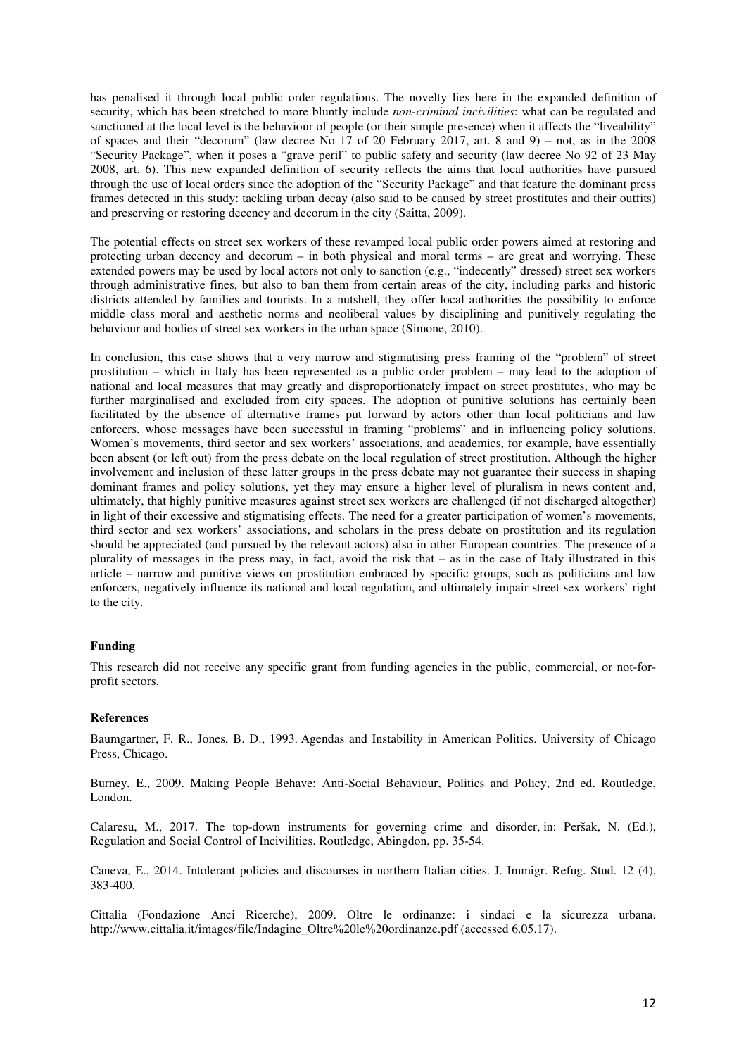has penalised it through local public order regulations. The novelty lies here in the expanded definition of security, which has been stretched to more bluntly include *non-criminal incivilities*: what can be regulated and sanctioned at the local level is the behaviour of people (or their simple presence) when it affects the "liveability" of spaces and their "decorum" (law decree No  $17$  of 20 February 2017, art. 8 and 9) – not, as in the 2008 "Security Package", when it poses a "grave peril" to public safety and security (law decree No 92 of 23 May 2008, art. 6). This new expanded definition of security reflects the aims that local authorities have pursued through the use of local orders since the adoption of the "Security Package" and that feature the dominant press frames detected in this study: tackling urban decay (also said to be caused by street prostitutes and their outfits) and preserving or restoring decency and decorum in the city (Saitta, 2009).

The potential effects on street sex workers of these revamped local public order powers aimed at restoring and protecting urban decency and decorum – in both physical and moral terms – are great and worrying. These extended powers may be used by local actors not only to sanction (e.g., "indecently" dressed) street sex workers through administrative fines, but also to ban them from certain areas of the city, including parks and historic districts attended by families and tourists. In a nutshell, they offer local authorities the possibility to enforce middle class moral and aesthetic norms and neoliberal values by disciplining and punitively regulating the behaviour and bodies of street sex workers in the urban space (Simone, 2010).

In conclusion, this case shows that a very narrow and stigmatising press framing of the "problem" of street prostitution – which in Italy has been represented as a public order problem – may lead to the adoption of national and local measures that may greatly and disproportionately impact on street prostitutes, who may be further marginalised and excluded from city spaces. The adoption of punitive solutions has certainly been facilitated by the absence of alternative frames put forward by actors other than local politicians and law enforcers, whose messages have been successful in framing "problems" and in influencing policy solutions. Women's movements, third sector and sex workers' associations, and academics, for example, have essentially been absent (or left out) from the press debate on the local regulation of street prostitution. Although the higher involvement and inclusion of these latter groups in the press debate may not guarantee their success in shaping dominant frames and policy solutions, yet they may ensure a higher level of pluralism in news content and, ultimately, that highly punitive measures against street sex workers are challenged (if not discharged altogether) in light of their excessive and stigmatising effects. The need for a greater participation of women's movements, third sector and sex workers' associations, and scholars in the press debate on prostitution and its regulation should be appreciated (and pursued by the relevant actors) also in other European countries. The presence of a plurality of messages in the press may, in fact, avoid the risk that – as in the case of Italy illustrated in this article – narrow and punitive views on prostitution embraced by specific groups, such as politicians and law enforcers, negatively influence its national and local regulation, and ultimately impair street sex workers' right to the city.

## **Funding**

This research did not receive any specific grant from funding agencies in the public, commercial, or not-forprofit sectors.

### **References**

Baumgartner, F. R., Jones, B. D., 1993. Agendas and Instability in American Politics. University of Chicago Press, Chicago.

Burney, E., 2009. Making People Behave: Anti-Social Behaviour, Politics and Policy, 2nd ed. Routledge, London.

Calaresu, M., 2017. The top-down instruments for governing crime and disorder, in: Peršak, N. (Ed.), Regulation and Social Control of Incivilities. Routledge, Abingdon, pp. 35-54.

Caneva, E., 2014. Intolerant policies and discourses in northern Italian cities. J. Immigr. Refug. Stud. 12 (4), 383-400.

Cittalia (Fondazione Anci Ricerche), 2009. Oltre le ordinanze: i sindaci e la sicurezza urbana. http://www.cittalia.it/images/file/Indagine\_Oltre%20le%20ordinanze.pdf (accessed 6.05.17).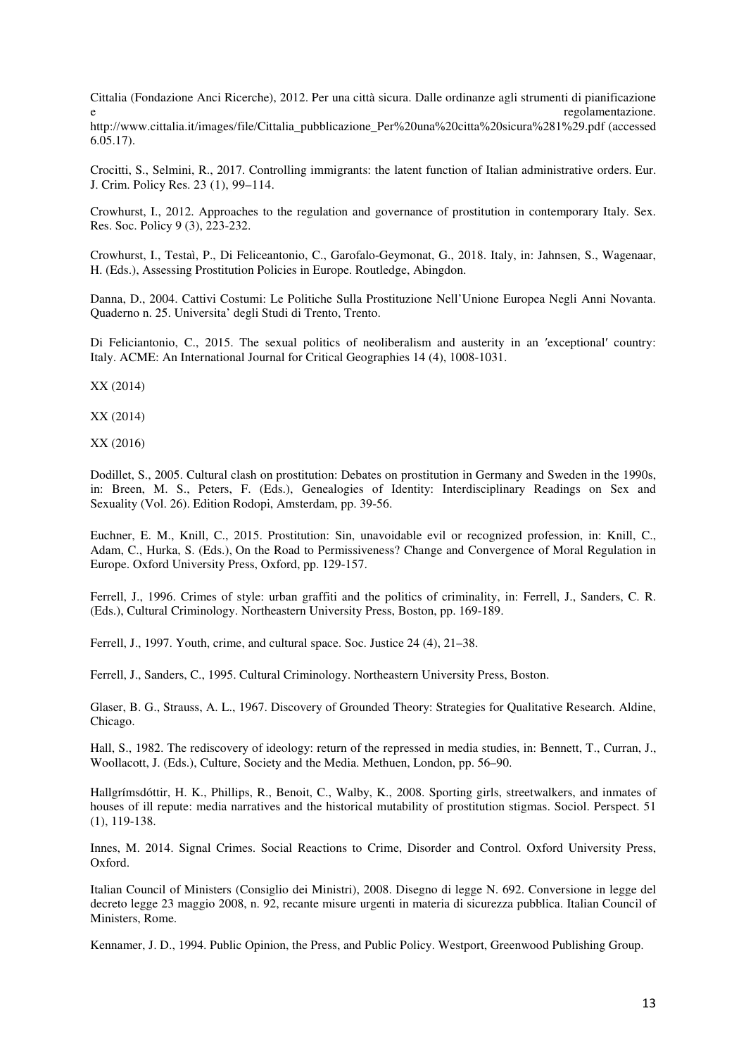Cittalia (Fondazione Anci Ricerche), 2012. Per una città sicura. Dalle ordinanze agli strumenti di pianificazione e regolamentazione.

http://www.cittalia.it/images/file/Cittalia\_pubblicazione\_Per%20una%20citta%20sicura%281%29.pdf (accessed 6.05.17).

Crocitti, S., Selmini, R., 2017. Controlling immigrants: the latent function of Italian administrative orders. Eur. J. Crim. Policy Res. 23 (1), 99–114.

Crowhurst, I., 2012. Approaches to the regulation and governance of prostitution in contemporary Italy. Sex. Res. Soc. Policy 9 (3), 223-232.

Crowhurst, I., Testaì, P., Di Feliceantonio, C., Garofalo-Geymonat, G., 2018. Italy, in: Jahnsen, S., Wagenaar, H. (Eds.), Assessing Prostitution Policies in Europe. Routledge, Abingdon.

Danna, D., 2004. Cattivi Costumi: Le Politiche Sulla Prostituzione Nell'Unione Europea Negli Anni Novanta. Quaderno n. 25. Universita' degli Studi di Trento, Trento.

Di Feliciantonio, C., 2015. The sexual politics of neoliberalism and austerity in an ′exceptional′ country: Italy. ACME: An International Journal for Critical Geographies 14 (4), 1008-1031.

XX (2014)

XX (2014)

XX (2016)

Dodillet, S., 2005. Cultural clash on prostitution: Debates on prostitution in Germany and Sweden in the 1990s, in: Breen, M. S., Peters, F. (Eds.), Genealogies of Identity: Interdisciplinary Readings on Sex and Sexuality (Vol. 26). Edition Rodopi, Amsterdam, pp. 39-56.

Euchner, E. M., Knill, C., 2015. Prostitution: Sin, unavoidable evil or recognized profession, in: Knill, C., Adam, C., Hurka, S. (Eds.), On the Road to Permissiveness? Change and Convergence of Moral Regulation in Europe. Oxford University Press, Oxford, pp. 129-157.

Ferrell, J., 1996. Crimes of style: urban graffiti and the politics of criminality, in: Ferrell, J., Sanders, C. R. (Eds.), Cultural Criminology. Northeastern University Press, Boston, pp. 169-189.

Ferrell, J., 1997. Youth, crime, and cultural space. Soc. Justice 24 (4), 21–38.

Ferrell, J., Sanders, C., 1995. Cultural Criminology. Northeastern University Press, Boston.

Glaser, B. G., Strauss, A. L., 1967. Discovery of Grounded Theory: Strategies for Qualitative Research. Aldine, Chicago.

Hall, S., 1982. The rediscovery of ideology: return of the repressed in media studies, in: Bennett, T., Curran, J., Woollacott, J. (Eds.), Culture, Society and the Media. Methuen, London, pp. 56–90.

Hallgrímsdóttir, H. K., Phillips, R., Benoit, C., Walby, K., 2008. Sporting girls, streetwalkers, and inmates of houses of ill repute: media narratives and the historical mutability of prostitution stigmas. Sociol. Perspect. 51 (1), 119-138.

Innes, M. 2014. Signal Crimes. Social Reactions to Crime, Disorder and Control. Oxford University Press, Oxford.

Italian Council of Ministers (Consiglio dei Ministri), 2008. Disegno di legge N. 692. Conversione in legge del decreto legge 23 maggio 2008, n. 92, recante misure urgenti in materia di sicurezza pubblica. Italian Council of Ministers, Rome.

Kennamer, J. D., 1994. Public Opinion, the Press, and Public Policy. Westport, Greenwood Publishing Group.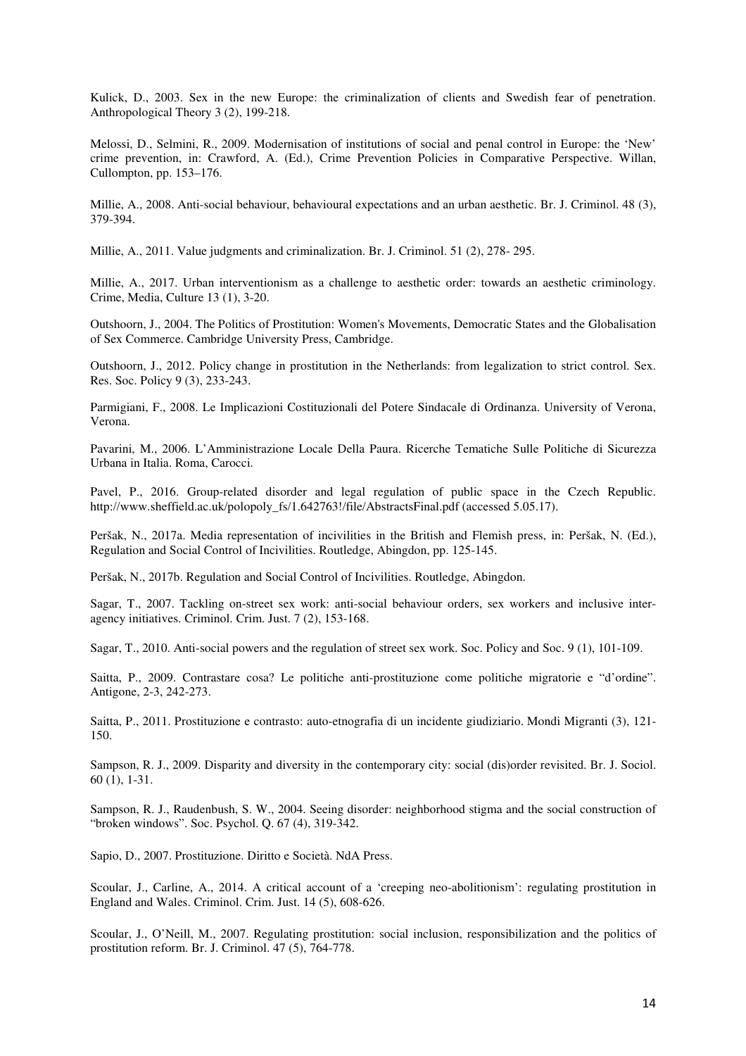Kulick, D., 2003. Sex in the new Europe: the criminalization of clients and Swedish fear of penetration. Anthropological Theory 3 (2), 199-218.

Melossi, D., Selmini, R., 2009. Modernisation of institutions of social and penal control in Europe: the 'New' crime prevention, in: Crawford, A. (Ed.), Crime Prevention Policies in Comparative Perspective. Willan, Cullompton, pp. 153–176.

Millie, A., 2008. Anti-social behaviour, behavioural expectations and an urban aesthetic. Br. J. Criminol. 48 (3), 379-394.

Millie, A., 2011. Value judgments and criminalization. Br. J. Criminol. 51 (2), 278- 295.

Millie, A., 2017. Urban interventionism as a challenge to aesthetic order: towards an aesthetic criminology. Crime, Media, Culture 13 (1), 3-20.

Outshoorn, J., 2004. The Politics of Prostitution: Women's Movements, Democratic States and the Globalisation of Sex Commerce. Cambridge University Press, Cambridge.

Outshoorn, J., 2012. Policy change in prostitution in the Netherlands: from legalization to strict control. Sex. Res. Soc. Policy 9 (3), 233-243.

Parmigiani, F., 2008. Le Implicazioni Costituzionali del Potere Sindacale di Ordinanza. University of Verona, Verona.

Pavarini, M., 2006. L'Amministrazione Locale Della Paura. Ricerche Tematiche Sulle Politiche di Sicurezza Urbana in Italia. Roma, Carocci.

Pavel, P., 2016. Group-related disorder and legal regulation of public space in the Czech Republic. http://www.sheffield.ac.uk/polopoly\_fs/1.642763!/file/AbstractsFinal.pdf (accessed 5.05.17).

Peršak, N., 2017a. Media representation of incivilities in the British and Flemish press, in: Peršak, N. (Ed.), Regulation and Social Control of Incivilities. Routledge, Abingdon, pp. 125-145.

Peršak, N., 2017b. Regulation and Social Control of Incivilities. Routledge, Abingdon.

Sagar, T., 2007. Tackling on-street sex work: anti-social behaviour orders, sex workers and inclusive interagency initiatives. Criminol. Crim. Just. 7 (2), 153-168.

Sagar, T., 2010. Anti-social powers and the regulation of street sex work. Soc. Policy and Soc. 9 (1), 101-109.

Saitta, P., 2009. Contrastare cosa? Le politiche anti-prostituzione come politiche migratorie e "d'ordine". Antigone, 2-3, 242-273.

Saitta, P., 2011. Prostituzione e contrasto: auto-etnografia di un incidente giudiziario. Mondi Migranti (3), 121- 150.

Sampson, R. J., 2009. Disparity and diversity in the contemporary city: social (dis)order revisited. Br. J. Sociol. 60 (1), 1-31.

Sampson, R. J., Raudenbush, S. W., 2004. Seeing disorder: neighborhood stigma and the social construction of "broken windows". Soc. Psychol. Q. 67 (4), 319-342.

Sapio, D., 2007. Prostituzione. Diritto e Società. NdA Press.

Scoular, J., Carline, A., 2014. A critical account of a 'creeping neo-abolitionism': regulating prostitution in England and Wales. Criminol. Crim. Just. 14 (5), 608-626.

Scoular, J., O'Neill, M., 2007. Regulating prostitution: social inclusion, responsibilization and the politics of prostitution reform. Br. J. Criminol. 47 (5), 764-778.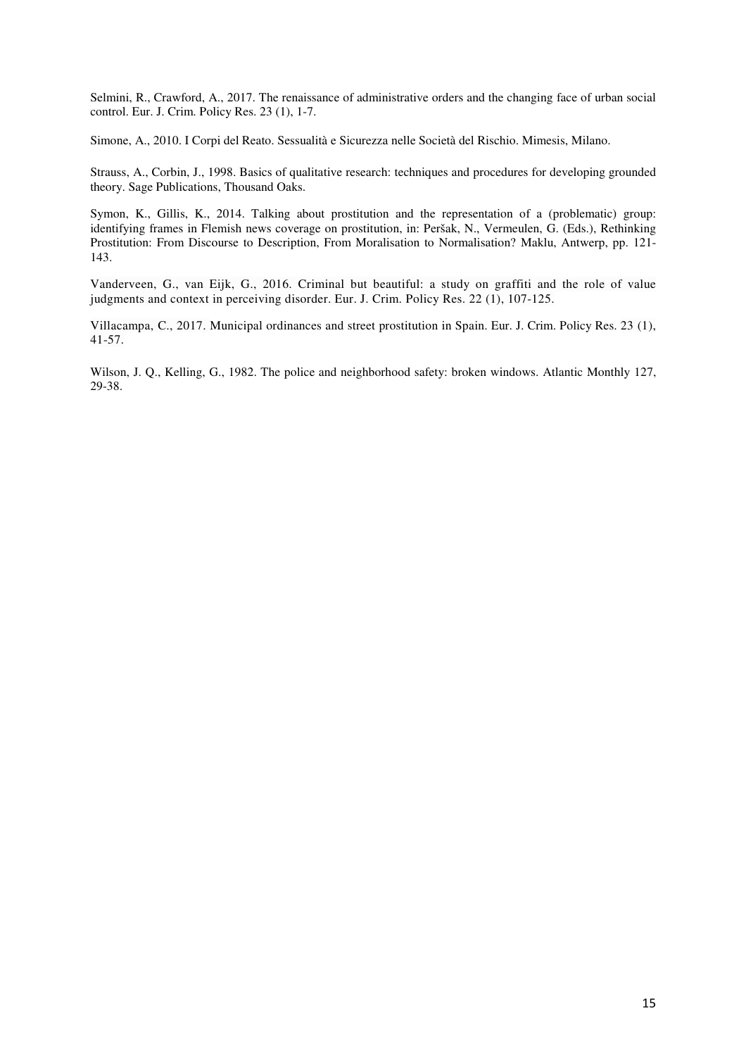Selmini, R., Crawford, A., 2017. The renaissance of administrative orders and the changing face of urban social control. Eur. J. Crim. Policy Res. 23 (1), 1-7.

Simone, A., 2010. I Corpi del Reato. Sessualità e Sicurezza nelle Società del Rischio. Mimesis, Milano.

Strauss, A., Corbin, J., 1998. Basics of qualitative research: techniques and procedures for developing grounded theory. Sage Publications, Thousand Oaks.

Symon, K., Gillis, K., 2014. Talking about prostitution and the representation of a (problematic) group: identifying frames in Flemish news coverage on prostitution, in: Peršak, N., Vermeulen, G. (Eds.), Rethinking Prostitution: From Discourse to Description, From Moralisation to Normalisation? Maklu, Antwerp, pp. 121- 143.

Vanderveen, G., van Eijk, G., 2016. Criminal but beautiful: a study on graffiti and the role of value judgments and context in perceiving disorder. Eur. J. Crim. Policy Res. 22 (1), 107-125.

Villacampa, C., 2017. Municipal ordinances and street prostitution in Spain. Eur. J. Crim. Policy Res. 23 (1), 41-57.

Wilson, J. Q., Kelling, G., 1982. The police and neighborhood safety: broken windows. Atlantic Monthly 127, 29-38.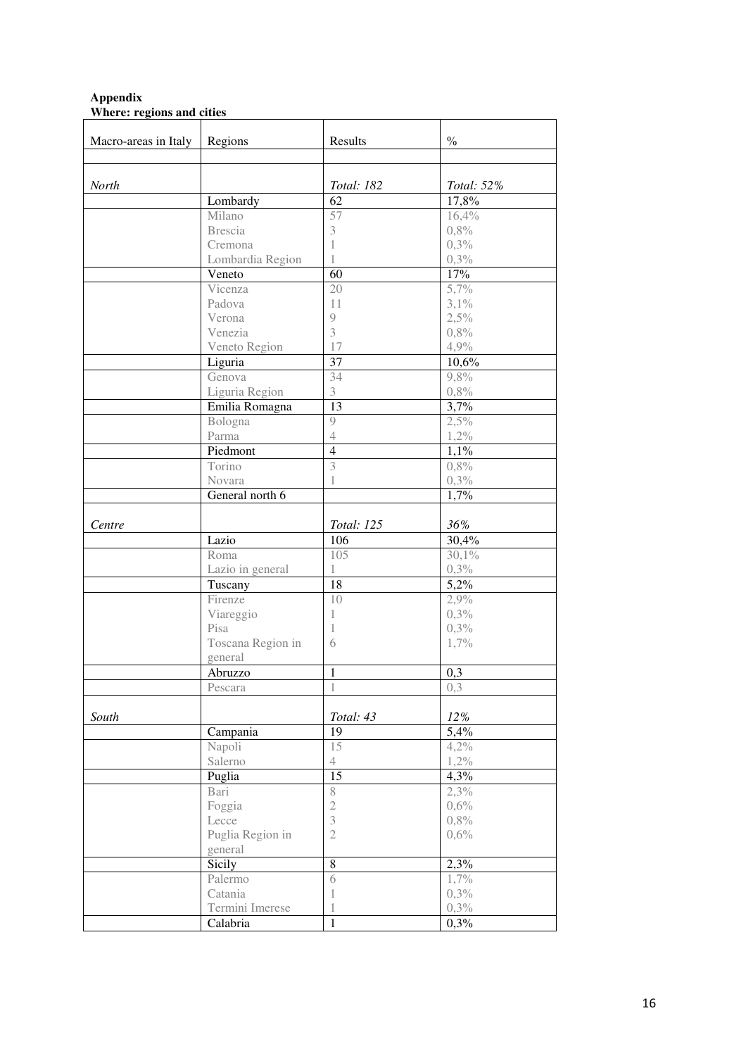# **Appendix Where: regions and cities**

| Macro-areas in Italy | Regions                   | Results                 | $\frac{0}{0}$ |
|----------------------|---------------------------|-------------------------|---------------|
|                      |                           |                         |               |
|                      |                           |                         |               |
| North                |                           | Total: 182              | Total: 52%    |
|                      | Lombardy                  | 62                      | 17,8%         |
|                      | Milano                    | 57                      | 16,4%         |
|                      | <b>Brescia</b><br>Cremona | 3<br>1                  | 0,8%<br>0,3%  |
|                      | Lombardia Region          | 1                       | 0,3%          |
|                      | Veneto                    | 60                      | 17%           |
|                      | Vicenza                   | 20                      | 5,7%          |
|                      | Padova                    | 11                      | 3,1%          |
|                      | Verona                    | 9                       | 2,5%          |
|                      | Venezia                   | 3                       | 0,8%          |
|                      | Veneto Region             | 17                      | 4,9%          |
|                      | Liguria                   | 37                      | 10,6%         |
|                      | Genova                    | 34                      | 9,8%          |
|                      | Liguria Region            | 3                       | 0,8%          |
|                      | Emilia Romagna            | 13                      | 3,7%          |
|                      | Bologna                   | 9                       | 2,5%          |
|                      | Parma                     | $\overline{4}$          | 1,2%          |
|                      | Piedmont                  | $\overline{4}$          | 1,1%          |
|                      | Torino                    | $\overline{\mathbf{3}}$ | 0,8%          |
|                      | Novara                    | 1                       | 0,3%          |
|                      | General north 6           |                         | 1,7%          |
|                      |                           |                         |               |
| Centre               |                           | Total: 125              | 36%           |
|                      | Lazio                     | 10 <sub>6</sub>         | 30,4%         |
|                      | Roma                      | 105                     | 30,1%         |
|                      | Lazio in general          | 1                       | 0,3%          |
|                      | Tuscany                   | 18                      | 5,2%          |
|                      | Firenze                   | 10                      | 2,9%          |
|                      | Viareggio                 | 1                       | 0,3%          |
|                      | Pisa                      | 1                       | 0,3%          |
|                      | Toscana Region in         | 6                       | 1,7%          |
|                      | general                   |                         |               |
|                      | Abruzzo                   | 1                       | 0,3           |
|                      | Pescara                   | 1                       | 0,3           |
| South                |                           | Total: 43               | 12%           |
|                      | Campania                  | 19                      | 5,4%          |
|                      | Napoli                    | 15                      | 4,2%          |
|                      | Salerno                   | $\overline{4}$          | 1,2%          |
|                      | Puglia                    | 15                      | 4,3%          |
|                      | Bari                      | 8                       | 2,3%          |
|                      | Foggia                    | $\sqrt{2}$              | 0,6%          |
|                      | Lecce                     | 3                       | 0,8%          |
|                      | Puglia Region in          | $\mathfrak{2}$          | 0,6%          |
|                      | general                   |                         |               |
|                      | Sicily                    | 8                       | 2,3%          |
|                      | Palermo                   | 6                       | 1,7%          |
|                      | Catania                   | 1                       | 0,3%          |
|                      | Termini Imerese           | 1                       | 0,3%          |
|                      | Calabria                  | $\mathbf{1}$            | 0,3%          |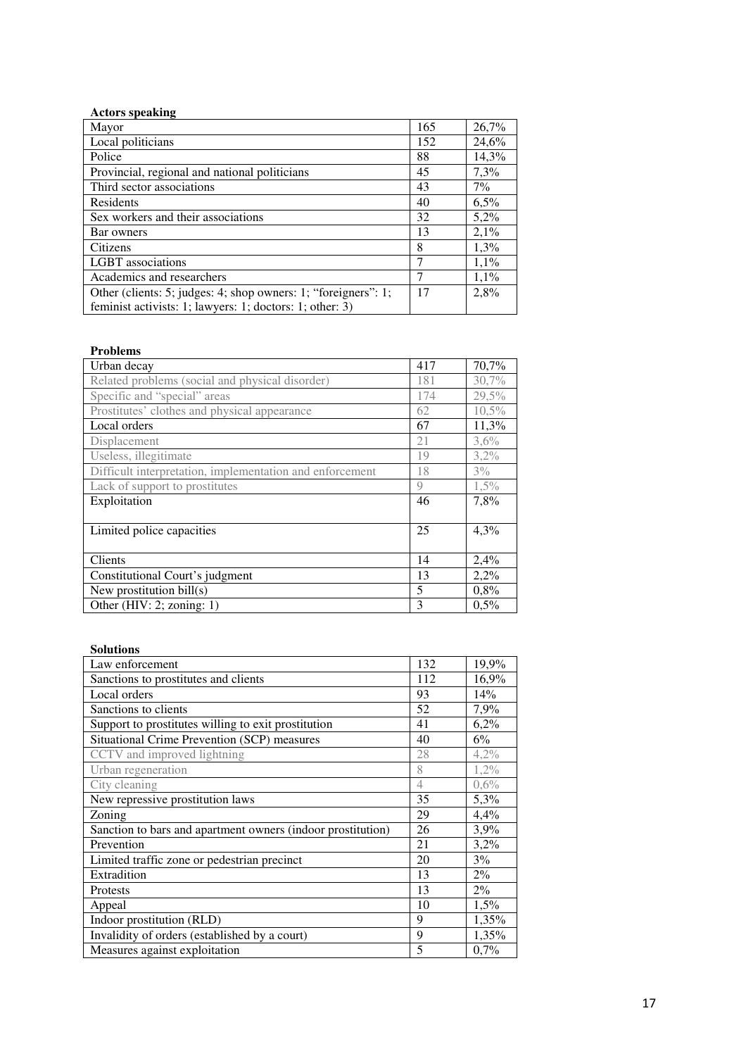| <b>Actors speaking</b>                                         |     |         |
|----------------------------------------------------------------|-----|---------|
| Mayor                                                          | 165 | 26,7%   |
| Local politicians                                              | 152 | 24,6%   |
| Police                                                         | 88  | 14,3%   |
| Provincial, regional and national politicians                  | 45  | 7,3%    |
| Third sector associations                                      | 43  | $7\%$   |
| Residents                                                      | 40  | $6.5\%$ |
| Sex workers and their associations                             |     | 5,2%    |
| Bar owners                                                     | 13  | 2,1%    |
| Citizens                                                       |     | 1,3%    |
| <b>LGBT</b> associations                                       | 7   | 1,1%    |
| Academics and researchers                                      | 7   | 1,1%    |
| Other (clients: 5; judges: 4; shop owners: 1; "foreigners": 1; |     | 2.8%    |
| feminist activists: 1; lawyers: 1; doctors: 1; other: 3)       |     |         |

| <b>Problems</b>                                          |     |         |
|----------------------------------------------------------|-----|---------|
| Urban decay                                              | 417 | 70,7%   |
| Related problems (social and physical disorder)          | 181 | 30,7%   |
| Specific and "special" areas                             | 174 | 29,5%   |
| Prostitutes' clothes and physical appearance             | 62  | 10,5%   |
| Local orders                                             | 67  | 11,3%   |
| Displacement                                             | 21  | $3,6\%$ |
| Useless, illegitimate                                    | 19  | 3,2%    |
| Difficult interpretation, implementation and enforcement | 18  | $3\%$   |
| Lack of support to prostitutes                           | 9   | $1,5\%$ |
| Exploitation                                             | 46  | 7,8%    |
|                                                          |     |         |
| Limited police capacities                                | 25  | 4,3%    |
|                                                          |     |         |
| Clients                                                  | 14  | 2,4%    |
| Constitutional Court's judgment                          | 13  | 2,2%    |
| New prostitution bill(s)                                 | 5   | 0,8%    |
| Other (HIV: 2; zoning: 1)                                | 3   | 0,5%    |

# **Solutions**

| Law enforcement                                             | 132            | 19,9%   |
|-------------------------------------------------------------|----------------|---------|
| Sanctions to prostitutes and clients                        | 112            | 16,9%   |
| Local orders                                                | 93             | 14%     |
| Sanctions to clients                                        | 52             | 7,9%    |
| Support to prostitutes willing to exit prostitution         | 41             | 6,2%    |
| <b>Situational Crime Prevention (SCP) measures</b>          | 40             | $6\%$   |
| CCTV and improved lightning                                 | 28             | 4,2%    |
| Urban regeneration                                          | 8              | $1,2\%$ |
| City cleaning                                               | $\overline{4}$ | 0,6%    |
| New repressive prostitution laws                            | 35             | 5,3%    |
| Zoning                                                      | 29             | 4,4%    |
| Sanction to bars and apartment owners (indoor prostitution) | 26             | 3,9%    |
| Prevention                                                  | 21             | 3,2%    |
| Limited traffic zone or pedestrian precinct                 | 20             | 3%      |
| Extradition                                                 | 13             | $2\%$   |
| Protests                                                    | 13             | 2%      |
| Appeal                                                      | 10             | 1,5%    |
| Indoor prostitution (RLD)                                   | 9              | 1,35%   |
| Invalidity of orders (established by a court)               | 9              | 1,35%   |
| Measures against exploitation                               | 5              | 0,7%    |